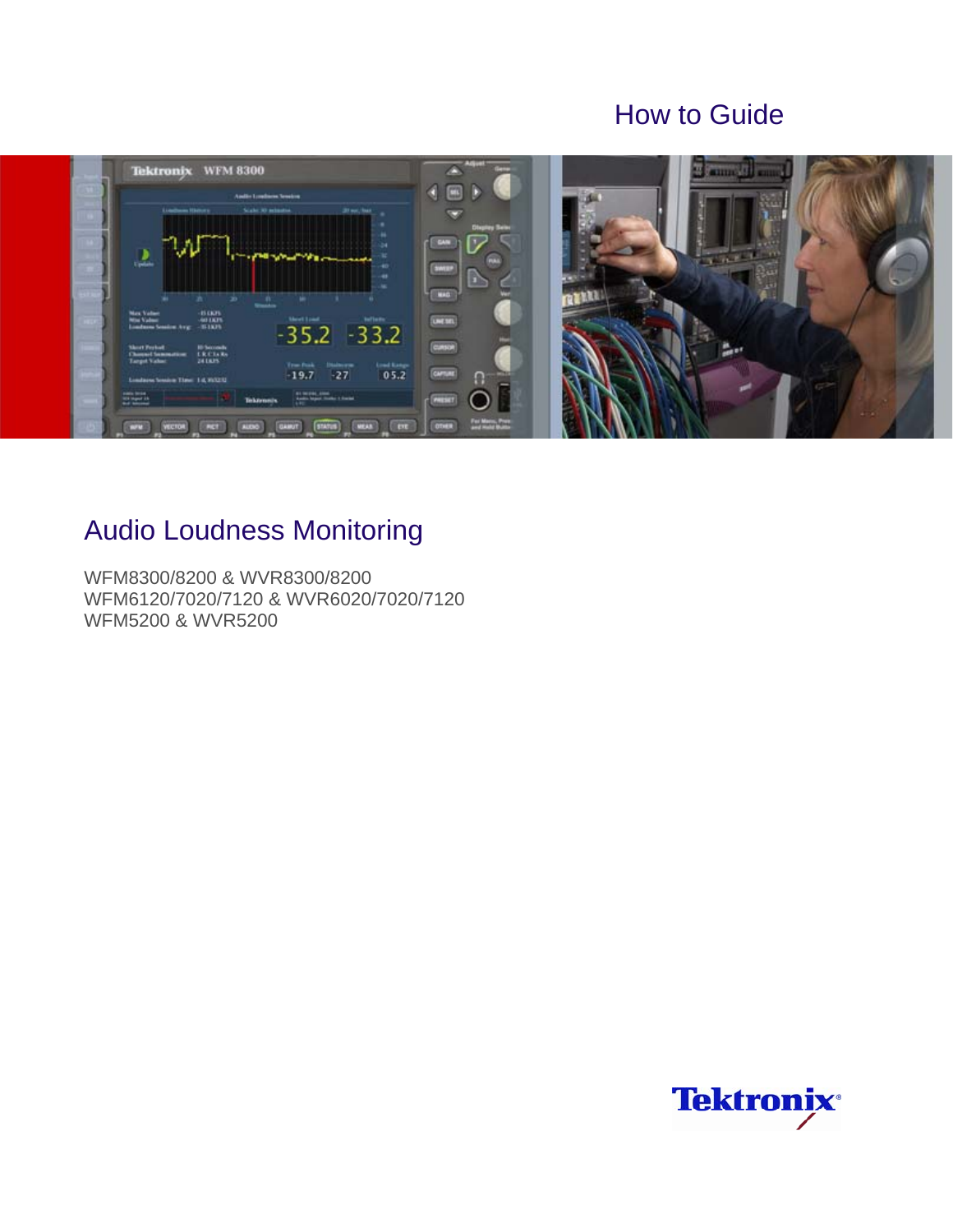## How to Guide



# Audio Loudness Monitoring

WFM8300/8200 & WVR8300/8200 WFM6120/7020/7120 & WVR6020/7020/7120 WFM5200 & WVR5200

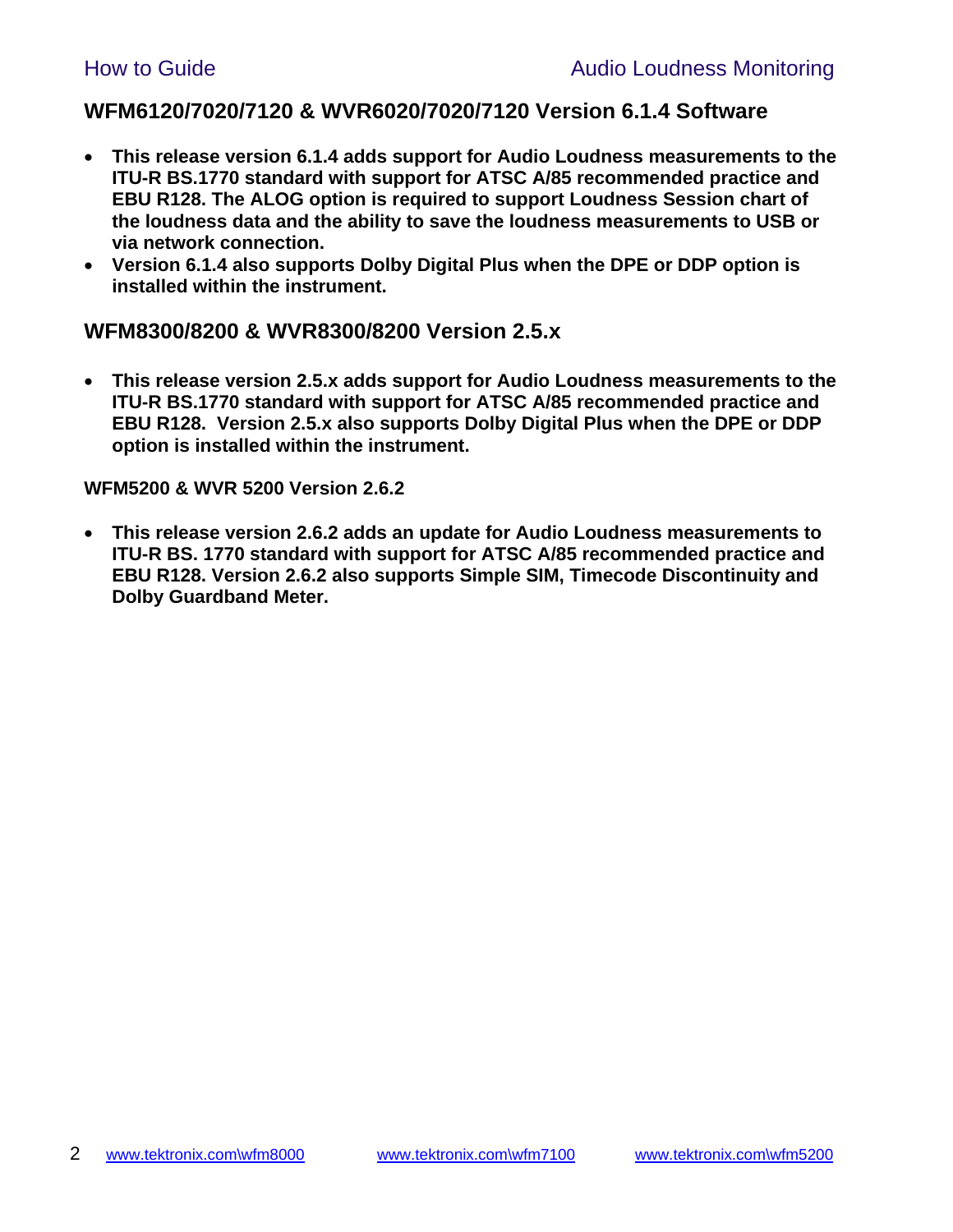### **WFM6120/7020/7120 & WVR6020/7020/7120 Version 6.1.4 Software**

- **This release version 6.1.4 adds support for Audio Loudness measurements to the ITU-R BS.1770 standard with support for ATSC A/85 recommended practice and EBU R128. The ALOG option is required to support Loudness Session chart of the loudness data and the ability to save the loudness measurements to USB or via network connection.**
- **Version 6.1.4 also supports Dolby Digital Plus when the DPE or DDP option is installed within the instrument.**

### **WFM8300/8200 & WVR8300/8200 Version 2.5.x**

 **This release version 2.5.x adds support for Audio Loudness measurements to the ITU-R BS.1770 standard with support for ATSC A/85 recommended practice and EBU R128. Version 2.5.x also supports Dolby Digital Plus when the DPE or DDP option is installed within the instrument.** 

#### **WFM5200 & WVR 5200 Version 2.6.2**

 **This release version 2.6.2 adds an update for Audio Loudness measurements to ITU-R BS. 1770 standard with support for ATSC A/85 recommended practice and EBU R128. Version 2.6.2 also supports Simple SIM, Timecode Discontinuity and Dolby Guardband Meter.**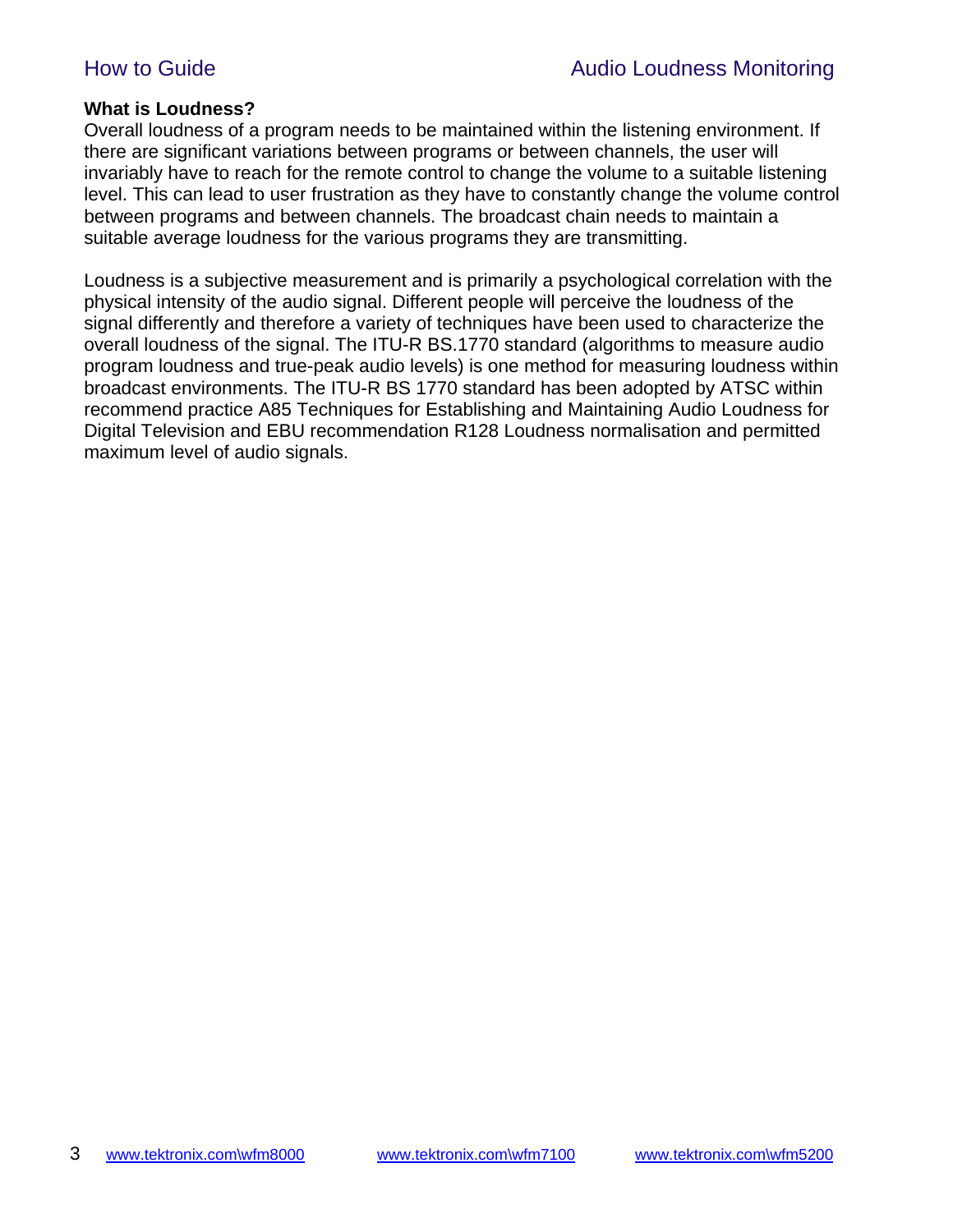#### **What is Loudness?**

Overall loudness of a program needs to be maintained within the listening environment. If there are significant variations between programs or between channels, the user will invariably have to reach for the remote control to change the volume to a suitable listening level. This can lead to user frustration as they have to constantly change the volume control between programs and between channels. The broadcast chain needs to maintain a suitable average loudness for the various programs they are transmitting.

Loudness is a subjective measurement and is primarily a psychological correlation with the physical intensity of the audio signal. Different people will perceive the loudness of the signal differently and therefore a variety of techniques have been used to characterize the overall loudness of the signal. The ITU-R BS.1770 standard (algorithms to measure audio program loudness and true-peak audio levels) is one method for measuring loudness within broadcast environments. The ITU-R BS 1770 standard has been adopted by ATSC within recommend practice A85 Techniques for Establishing and Maintaining Audio Loudness for Digital Television and EBU recommendation R128 Loudness normalisation and permitted maximum level of audio signals.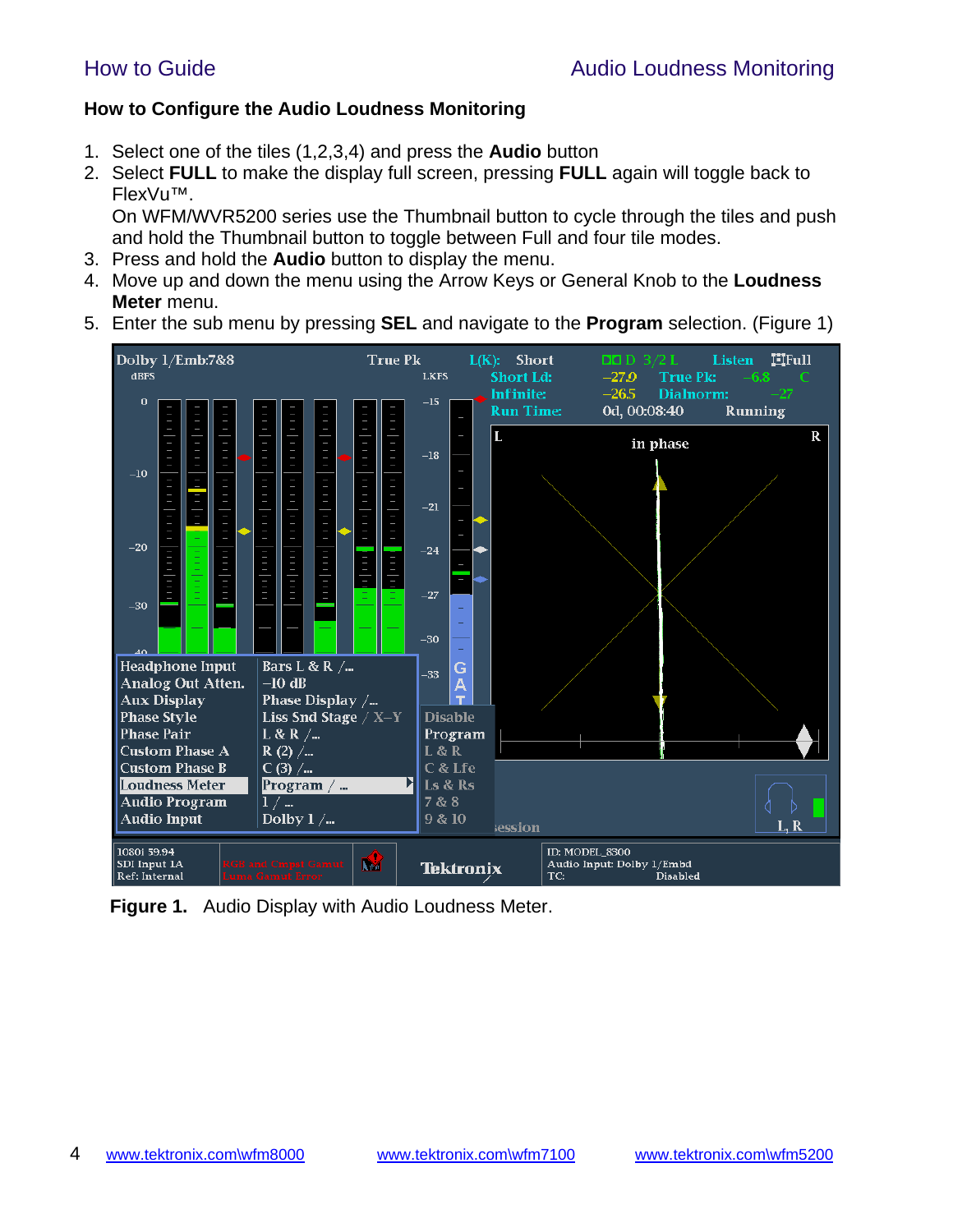#### **How to Configure the Audio Loudness Monitoring**

- 1. Select one of the tiles (1,2,3,4) and press the **Audio** button
- 2. Select **FULL** to make the display full screen, pressing **FULL** again will toggle back to FlexVu™.

On WFM/WVR5200 series use the Thumbnail button to cycle through the tiles and push and hold the Thumbnail button to toggle between Full and four tile modes.

- 3. Press and hold the **Audio** button to display the menu.
- 4. Move up and down the menu using the Arrow Keys or General Knob to the **Loudness Meter** menu.
- 5. Enter the sub menu by pressing **SEL** and navigate to the **Program** selection. (Figure 1)



 **Figure 1.** Audio Display with Audio Loudness Meter.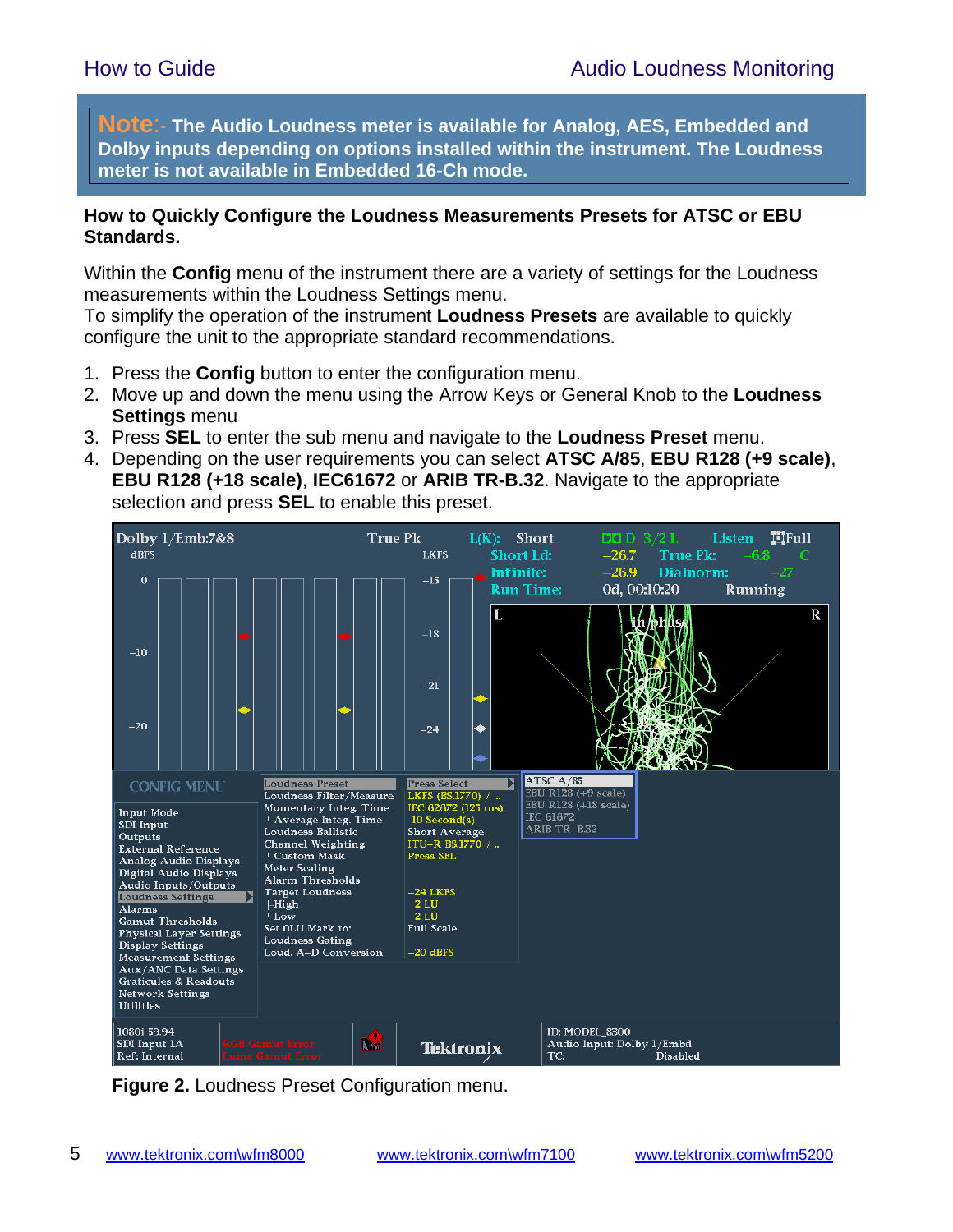**Note**:- **The Audio Loudness meter is available for Analog, AES, Embedded and Dolby inputs depending on options installed within the instrument. The Loudness meter is not available in Embedded 16-Ch mode.**

#### **How to Quickly Configure the Loudness Measurements Presets for ATSC or EBU Standards.**

Within the **Config** menu of the instrument there are a variety of settings for the Loudness measurements within the Loudness Settings menu.

To simplify the operation of the instrument **Loudness Presets** are available to quickly configure the unit to the appropriate standard recommendations.

- 1. Press the **Config** button to enter the configuration menu.
- 2. Move up and down the menu using the Arrow Keys or General Knob to the **Loudness Settings** menu
- 3. Press **SEL** to enter the sub menu and navigate to the **Loudness Preset** menu.
- 4. Depending on the user requirements you can select **ATSC A/85**, **EBU R128 (+9 scale)**, **EBU R128 (+18 scale)**, **IEC61672** or **ARIB TR-B.32**. Navigate to the appropriate selection and press **SEL** to enable this preset.



**Figure 2.** Loudness Preset Configuration menu.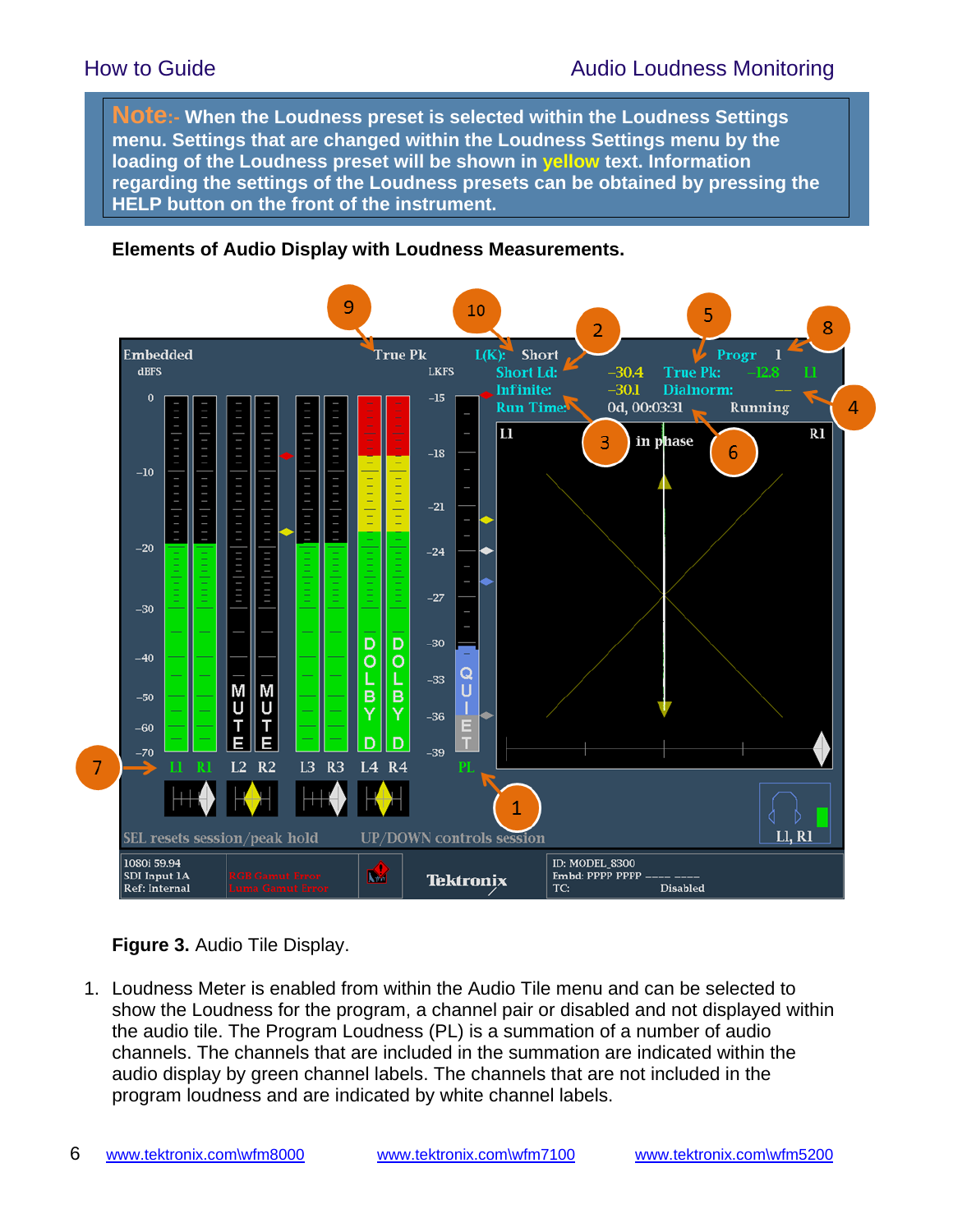**Note:- When the Loudness preset is selected within the Loudness Settings menu. Settings that are changed within the Loudness Settings menu by the loading of the Loudness preset will be shown in yellow text. Information regarding the settings of the Loudness presets can be obtained by pressing the HELP button on the front of the instrument.**

#### **Elements of Audio Display with Loudness Measurements.**



### **Figure 3.** Audio Tile Display.

1. Loudness Meter is enabled from within the Audio Tile menu and can be selected to show the Loudness for the program, a channel pair or disabled and not displayed within the audio tile. The Program Loudness (PL) is a summation of a number of audio channels. The channels that are included in the summation are indicated within the audio display by green channel labels. The channels that are not included in the program loudness and are indicated by white channel labels.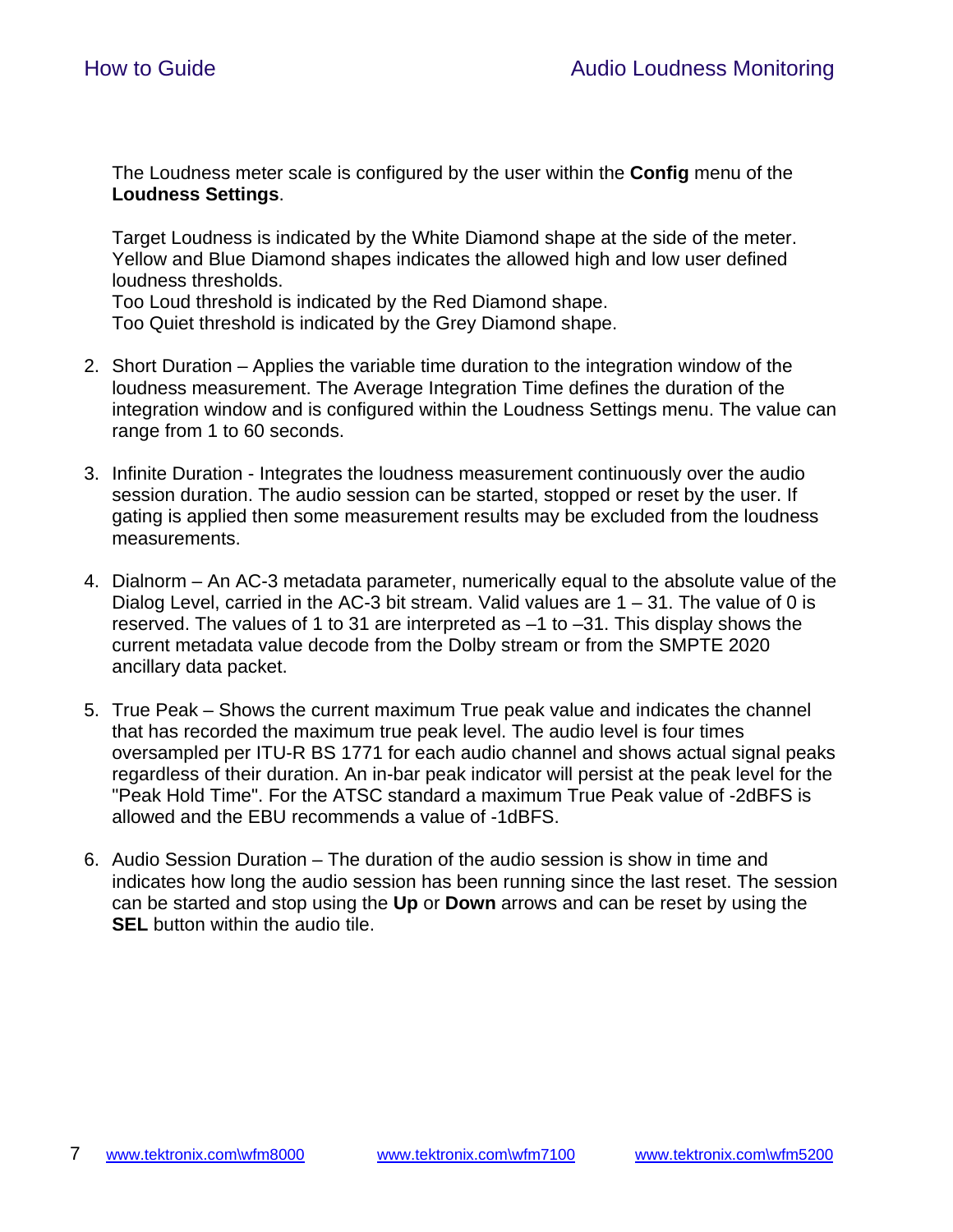The Loudness meter scale is configured by the user within the **Config** menu of the **Loudness Settings**.

Target Loudness is indicated by the White Diamond shape at the side of the meter. Yellow and Blue Diamond shapes indicates the allowed high and low user defined loudness thresholds.

Too Loud threshold is indicated by the Red Diamond shape.

Too Quiet threshold is indicated by the Grey Diamond shape.

- 2. Short Duration Applies the variable time duration to the integration window of the loudness measurement. The Average Integration Time defines the duration of the integration window and is configured within the Loudness Settings menu. The value can range from 1 to 60 seconds.
- 3. Infinite Duration Integrates the loudness measurement continuously over the audio session duration. The audio session can be started, stopped or reset by the user. If gating is applied then some measurement results may be excluded from the loudness measurements.
- 4. Dialnorm An AC-3 metadata parameter, numerically equal to the absolute value of the Dialog Level, carried in the AC-3 bit stream. Valid values are  $1 - 31$ . The value of 0 is reserved. The values of 1 to 31 are interpreted as –1 to –31. This display shows the current metadata value decode from the Dolby stream or from the SMPTE 2020 ancillary data packet.
- 5. True Peak Shows the current maximum True peak value and indicates the channel that has recorded the maximum true peak level. The audio level is four times oversampled per ITU-R BS 1771 for each audio channel and shows actual signal peaks regardless of their duration. An in-bar peak indicator will persist at the peak level for the "Peak Hold Time". For the ATSC standard a maximum True Peak value of -2dBFS is allowed and the EBU recommends a value of -1dBFS.
- 6. Audio Session Duration The duration of the audio session is show in time and indicates how long the audio session has been running since the last reset. The session can be started and stop using the **Up** or **Down** arrows and can be reset by using the **SEL** button within the audio tile.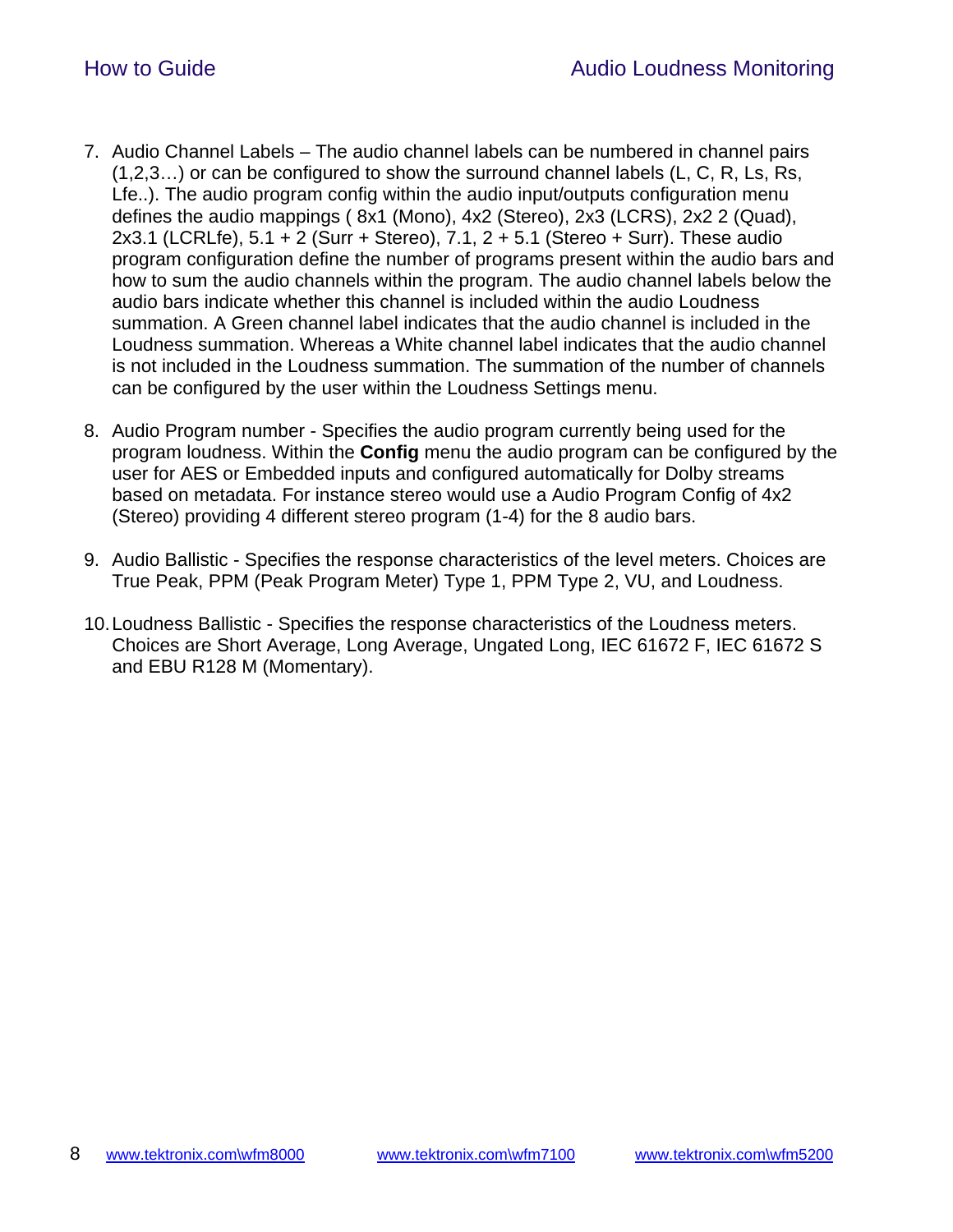- 7. Audio Channel Labels The audio channel labels can be numbered in channel pairs (1,2,3…) or can be configured to show the surround channel labels (L, C, R, Ls, Rs, Lfe..). The audio program config within the audio input/outputs configuration menu defines the audio mappings ( 8x1 (Mono), 4x2 (Stereo), 2x3 (LCRS), 2x2 2 (Quad), 2x3.1 (LCRLfe), 5.1 + 2 (Surr + Stereo), 7.1, 2 + 5.1 (Stereo + Surr). These audio program configuration define the number of programs present within the audio bars and how to sum the audio channels within the program. The audio channel labels below the audio bars indicate whether this channel is included within the audio Loudness summation. A Green channel label indicates that the audio channel is included in the Loudness summation. Whereas a White channel label indicates that the audio channel is not included in the Loudness summation. The summation of the number of channels can be configured by the user within the Loudness Settings menu.
- 8. Audio Program number Specifies the audio program currently being used for the program loudness. Within the **Config** menu the audio program can be configured by the user for AES or Embedded inputs and configured automatically for Dolby streams based on metadata. For instance stereo would use a Audio Program Config of 4x2 (Stereo) providing 4 different stereo program (1-4) for the 8 audio bars.
- 9. Audio Ballistic Specifies the response characteristics of the level meters. Choices are True Peak, PPM (Peak Program Meter) Type 1, PPM Type 2, VU, and Loudness.
- 10. Loudness Ballistic Specifies the response characteristics of the Loudness meters. Choices are Short Average, Long Average, Ungated Long, IEC 61672 F, IEC 61672 S and EBU R128 M (Momentary).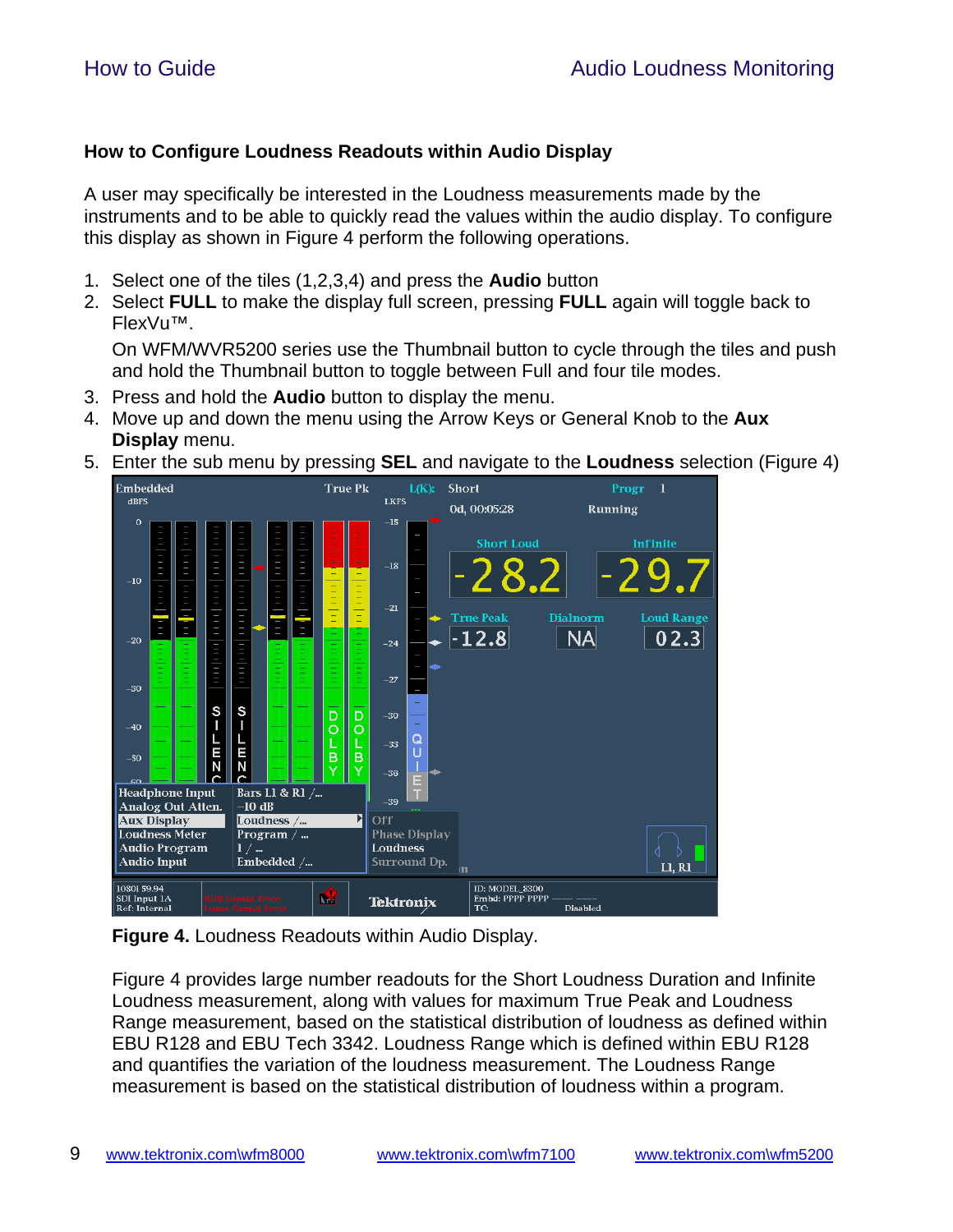### **How to Configure Loudness Readouts within Audio Display**

A user may specifically be interested in the Loudness measurements made by the instruments and to be able to quickly read the values within the audio display. To configure this display as shown in Figure 4 perform the following operations.

- 1. Select one of the tiles (1,2,3,4) and press the **Audio** button
- 2. Select **FULL** to make the display full screen, pressing **FULL** again will toggle back to FlexVu™.

On WFM/WVR5200 series use the Thumbnail button to cycle through the tiles and push and hold the Thumbnail button to toggle between Full and four tile modes.

- 3. Press and hold the **Audio** button to display the menu.
- 4. Move up and down the menu using the Arrow Keys or General Knob to the **Aux Display** menu.
- 5. Enter the sub menu by pressing **SEL** and navigate to the **Loudness** selection (Figure 4)



**Figure 4.** Loudness Readouts within Audio Display.

Figure 4 provides large number readouts for the Short Loudness Duration and Infinite Loudness measurement, along with values for maximum True Peak and Loudness Range measurement, based on the statistical distribution of loudness as defined within EBU R128 and EBU Tech 3342. Loudness Range which is defined within EBU R128 and quantifies the variation of the loudness measurement. The Loudness Range measurement is based on the statistical distribution of loudness within a program.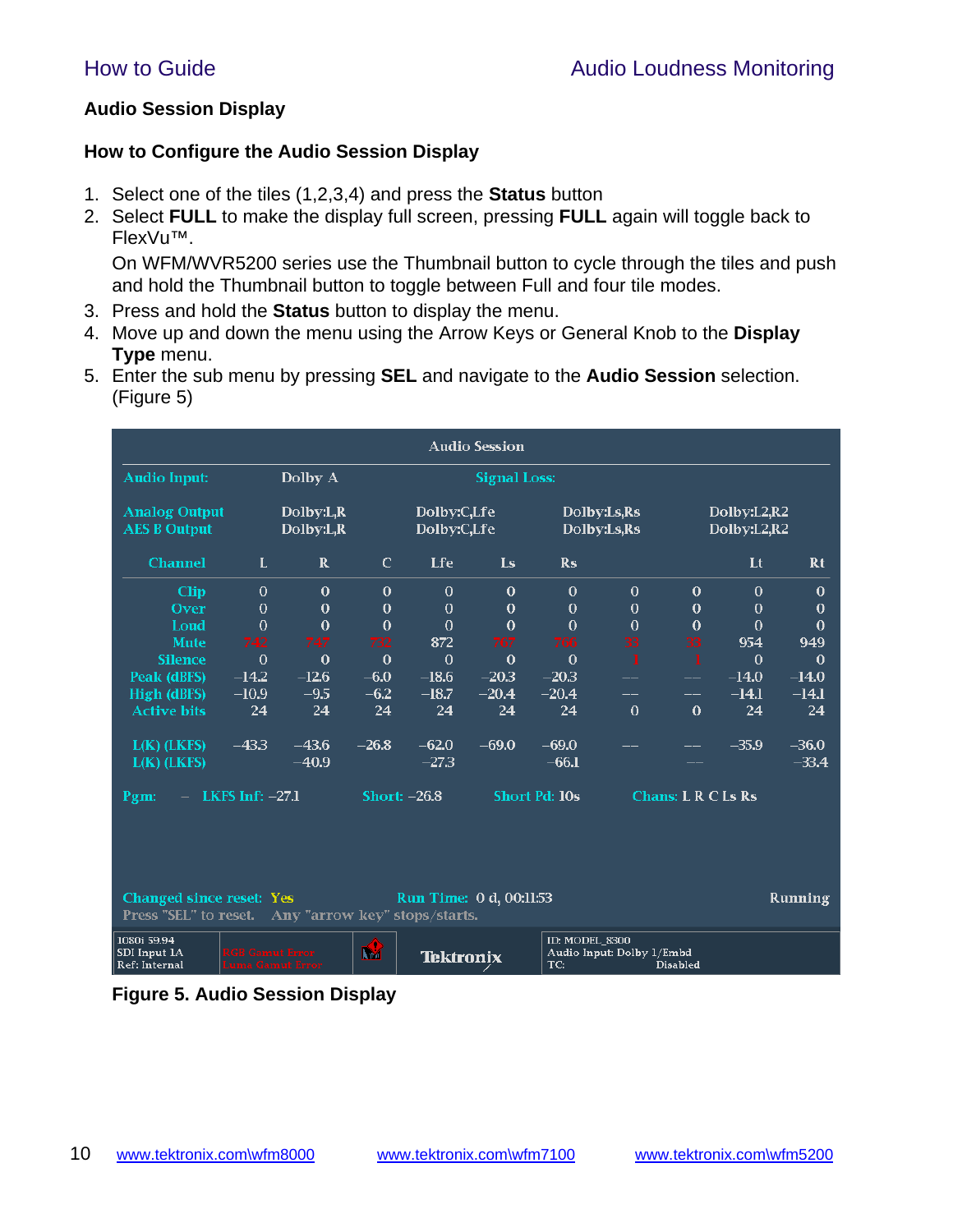### **Audio Session Display**

### **How to Configure the Audio Session Display**

- 1. Select one of the tiles (1,2,3,4) and press the **Status** button
- 2. Select **FULL** to make the display full screen, pressing **FULL** again will toggle back to FlexVu™.

On WFM/WVR5200 series use the Thumbnail button to cycle through the tiles and push and hold the Thumbnail button to toggle between Full and four tile modes.

- 3. Press and hold the **Status** button to display the menu.
- 4. Move up and down the menu using the Arrow Keys or General Knob to the **Display Type** menu.
- 5. Enter the sub menu by pressing **SEL** and navigate to the **Audio Session** selection. (Figure 5)

| <b>Audio Session</b>                        |                   |                          |              |                            |                     |                      |                            |                           |                            |          |
|---------------------------------------------|-------------------|--------------------------|--------------|----------------------------|---------------------|----------------------|----------------------------|---------------------------|----------------------------|----------|
| <b>Audio Input:</b>                         |                   | Dolby A                  |              |                            | <b>Signal Loss:</b> |                      |                            |                           |                            |          |
| <b>Analog Output</b><br><b>AES B Output</b> |                   | Dolby: L, R<br>Dolby:L,R |              | Dolby:C,Lfe<br>Dolby:C,Lfe |                     |                      | Dolby:Ls,Rs<br>Dolby:Ls,Rs |                           | Dolby:L2,R2<br>Dolby:L2,R2 |          |
| <b>Channel</b>                              | L                 | $\mathbf{R}$             | $\mathbf C$  | <b>Lfe</b>                 | <b>Ls</b>           | $\mathbf{Rs}$        |                            |                           | Lt                         | Rt       |
| <b>Clip</b>                                 | $\theta$          | $\theta$                 | $\Omega$     | $\Omega$                   | $\Omega$            | $\theta$             | $\Omega$                   | $\theta$                  | $\Omega$                   | $\Omega$ |
| Over                                        | $\bf{0}$          | $\mathbf 0$              | $\mathbf 0$  | $\mathbf 0$                | $\mathbf 0$         | $\bf{0}$             | $\mathbf 0$                | $\mathbf 0$               | $\bf{0}$                   | $\bf{0}$ |
| Loud                                        | $\bf{0}$          | $\theta$                 | $\mathbf{0}$ | $\mathbf 0$                | $\theta$            | $\theta$             | $\theta$                   | $\mathbf 0$               | $\bf{0}$                   | $\bf{0}$ |
| <b>Mute</b>                                 | 742               | 747                      | 732          | 872                        | 767                 | 766                  | 33                         | 33                        | 954                        | 949      |
| <b>Silence</b>                              | $\bf{0}$          | $\theta$                 | $\bf{0}$     | $\mathbf 0$                | $\bf{0}$            | $\bf{0}$             |                            | 1                         | $\mathbf 0$                | $\theta$ |
| Peak (dBFS)                                 | $-14.2$           | $-12.6$                  | $-6.0$       | $-18.6$                    | $-20.3$             | $-20.3$              |                            |                           | $-14.0$                    | $-14.0$  |
| High (dBFS)                                 | $-10.9$           | $-9.5$                   | $-6.2$       | $-18.7$                    | $-20.4$             | $-20.4$              | --                         |                           | $-I4.1$                    | $-14.1$  |
| <b>Active bits</b>                          | 24                | 24                       | 24           | 24                         | 24                  | 24                   | $\theta$                   | $\theta$                  | 24                         | 24       |
| $L(K)$ (LKFS)                               | $-43.3$           | $-43.6$                  | $-26.8$      | $-62.0$                    | $-69.0$             | $-69.0$              |                            |                           | $-35.9$                    | $-36.0$  |
| $L(K)$ (LKFS)                               |                   | $-40.9$                  |              | $-27.3$                    |                     | $-66.1$              |                            |                           |                            | $-33.4$  |
| Pgm:                                        | LKFS Inf: $-27.1$ |                          |              | Short: $-26.8$             |                     | <b>Short Pd: 10s</b> |                            | <b>Chans: L R C Ls Rs</b> |                            |          |
|                                             |                   |                          |              |                            |                     |                      |                            |                           |                            |          |
|                                             |                   |                          |              |                            |                     |                      |                            |                           |                            |          |

| <b>Run Time: 0 d, 00:11:53</b><br>Changed since reset: Yes<br><b>Press "SEL"</b> to reset. Any "arrow key" stops/starts. |                                            |          |           |                                                                       | Running |
|--------------------------------------------------------------------------------------------------------------------------|--------------------------------------------|----------|-----------|-----------------------------------------------------------------------|---------|
| 1080i 59.94  <br>SDI Input 1A<br><b>Ref: Internal</b>                                                                    | <b>RGB Gamut Error</b><br>Luma Gamut Error | <b>R</b> | Tektronix | ID: MODEL 8300<br>Audio Input: Dolby 1/Embd<br>TC:<br><b>Disabled</b> |         |

### **Figure 5. Audio Session Display**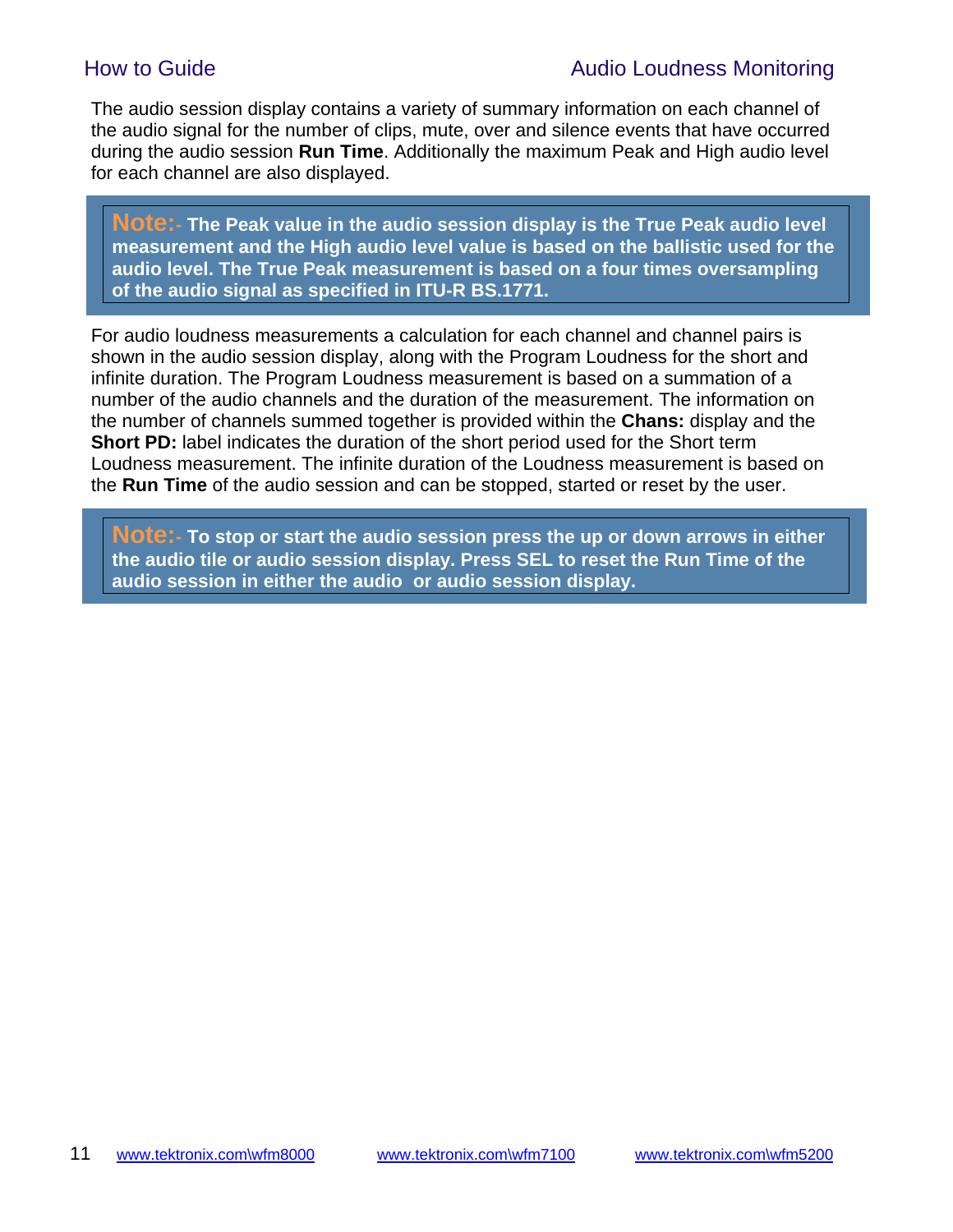The audio session display contains a variety of summary information on each channel of the audio signal for the number of clips, mute, over and silence events that have occurred during the audio session **Run Time**. Additionally the maximum Peak and High audio level for each channel are also displayed.

**Note:- The Peak value in the audio session display is the True Peak audio level measurement and the High audio level value is based on the ballistic used for the audio level. The True Peak measurement is based on a four times oversampling of the audio signal as specified in ITU-R BS.1771.**

For audio loudness measurements a calculation for each channel and channel pairs is shown in the audio session display, along with the Program Loudness for the short and infinite duration. The Program Loudness measurement is based on a summation of a number of the audio channels and the duration of the measurement. The information on the number of channels summed together is provided within the **Chans:** display and the **Short PD:** label indicates the duration of the short period used for the Short term Loudness measurement. The infinite duration of the Loudness measurement is based on the **Run Time** of the audio session and can be stopped, started or reset by the user.

**Note:- To stop or start the audio session press the up or down arrows in either the audio tile or audio session display. Press SEL to reset the Run Time of the audio session in either the audio or audio session display.**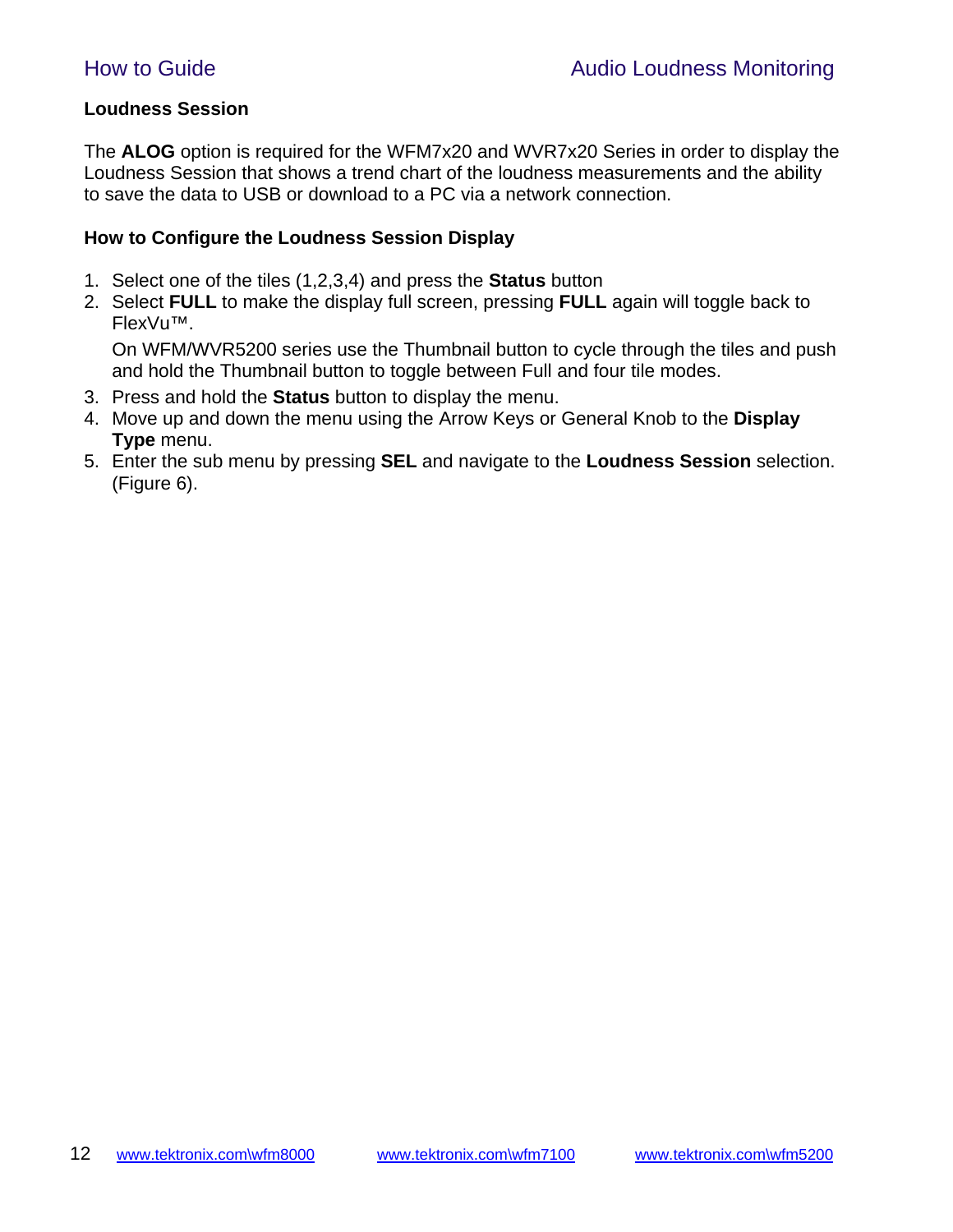#### **Loudness Session**

The **ALOG** option is required for the WFM7x20 and WVR7x20 Series in order to display the Loudness Session that shows a trend chart of the loudness measurements and the ability to save the data to USB or download to a PC via a network connection.

#### **How to Configure the Loudness Session Display**

- 1. Select one of the tiles (1,2,3,4) and press the **Status** button
- 2. Select **FULL** to make the display full screen, pressing **FULL** again will toggle back to FlexVu™.

On WFM/WVR5200 series use the Thumbnail button to cycle through the tiles and push and hold the Thumbnail button to toggle between Full and four tile modes.

- 3. Press and hold the **Status** button to display the menu.
- 4. Move up and down the menu using the Arrow Keys or General Knob to the **Display Type** menu.
- 5. Enter the sub menu by pressing **SEL** and navigate to the **Loudness Session** selection. (Figure 6).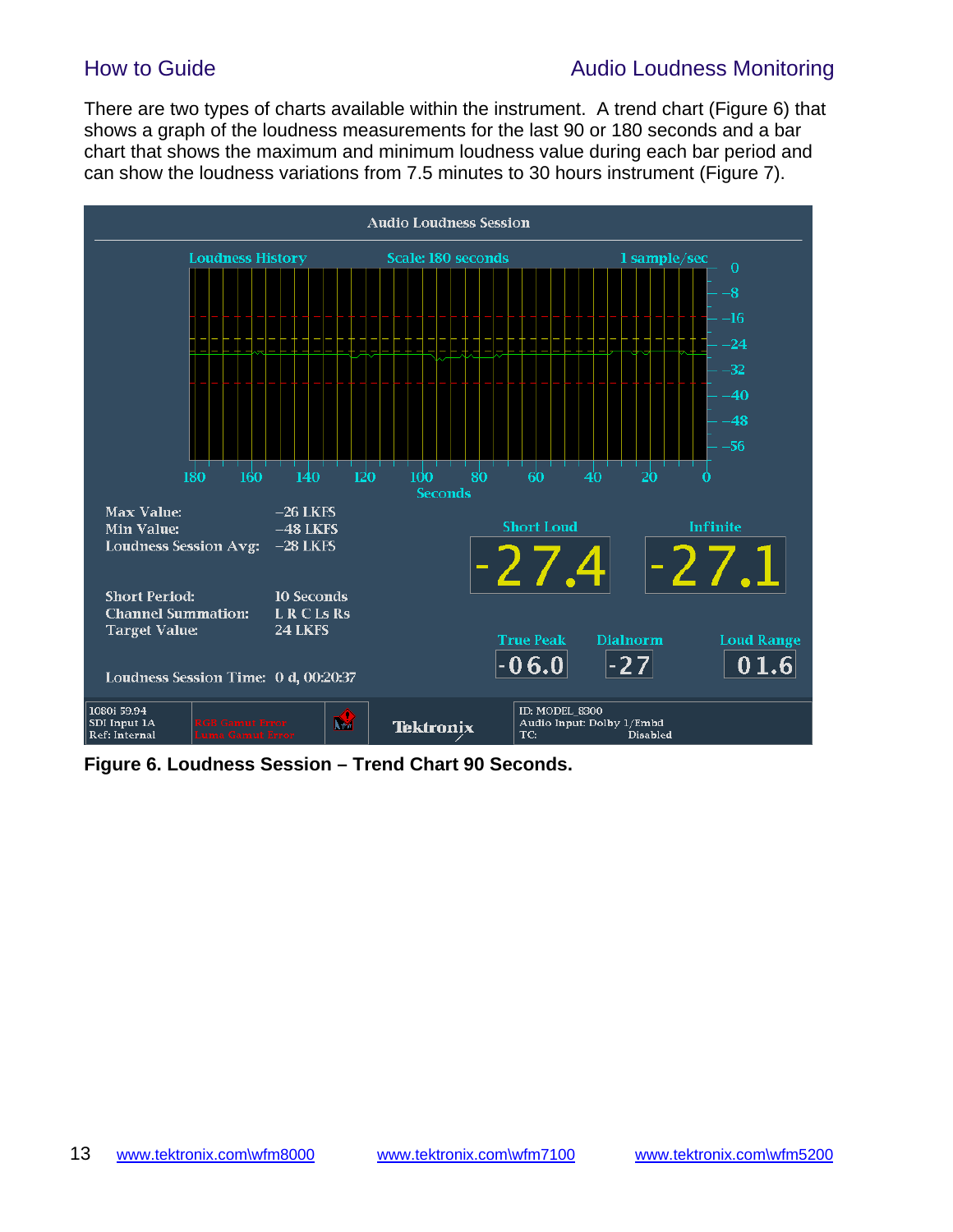## How to Guide **Audio Loudness Monitoring**

There are two types of charts available within the instrument. A trend chart (Figure 6) that shows a graph of the loudness measurements for the last 90 or 180 seconds and a bar chart that shows the maximum and minimum loudness value during each bar period and can show the loudness variations from 7.5 minutes to 30 hours instrument (Figure 7).



**Figure 6. Loudness Session – Trend Chart 90 Seconds.**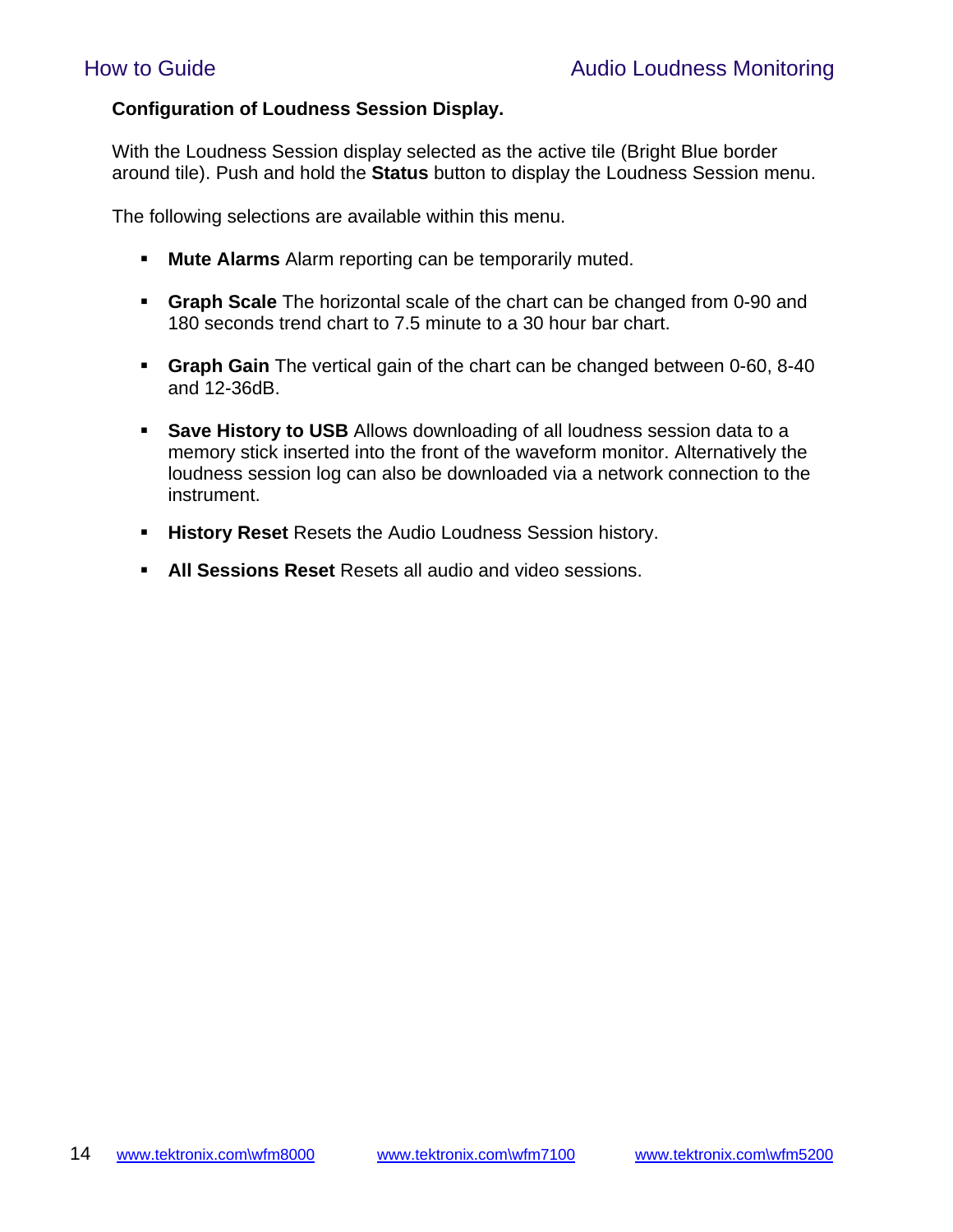#### **Configuration of Loudness Session Display.**

With the Loudness Session display selected as the active tile (Bright Blue border around tile). Push and hold the **Status** button to display the Loudness Session menu.

The following selections are available within this menu.

- **Mute Alarms** Alarm reporting can be temporarily muted.
- **Graph Scale** The horizontal scale of the chart can be changed from 0-90 and 180 seconds trend chart to 7.5 minute to a 30 hour bar chart.
- **Graph Gain** The vertical gain of the chart can be changed between 0-60, 8-40 and 12-36dB.
- **Save History to USB** Allows downloading of all loudness session data to a memory stick inserted into the front of the waveform monitor. Alternatively the loudness session log can also be downloaded via a network connection to the instrument.
- **History Reset** Resets the Audio Loudness Session history.
- **All Sessions Reset** Resets all audio and video sessions.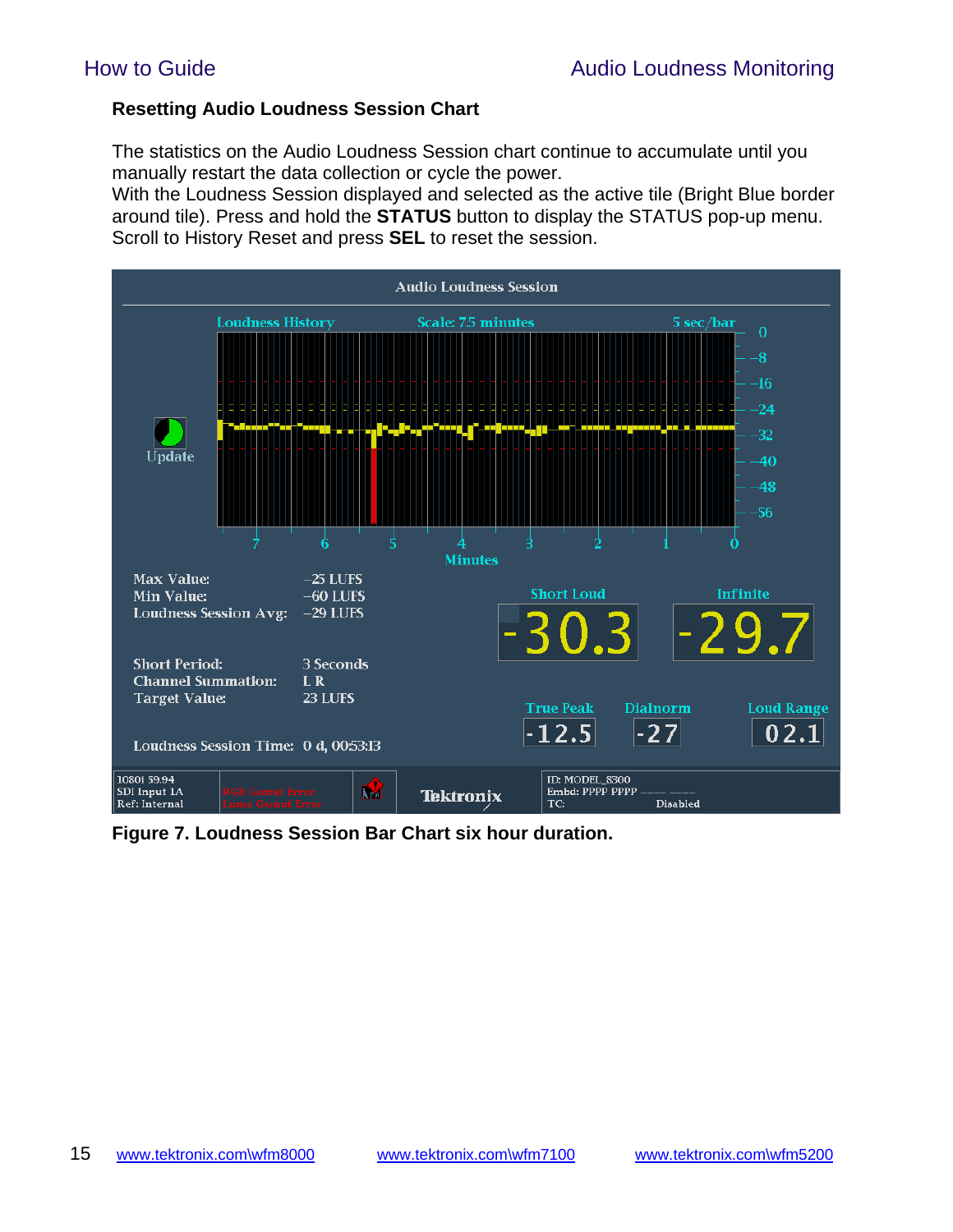#### **Resetting Audio Loudness Session Chart**

The statistics on the Audio Loudness Session chart continue to accumulate until you manually restart the data collection or cycle the power.

With the Loudness Session displayed and selected as the active tile (Bright Blue border around tile). Press and hold the **STATUS** button to display the STATUS pop-up menu. Scroll to History Reset and press **SEL** to reset the session.



**Figure 7. Loudness Session Bar Chart six hour duration.**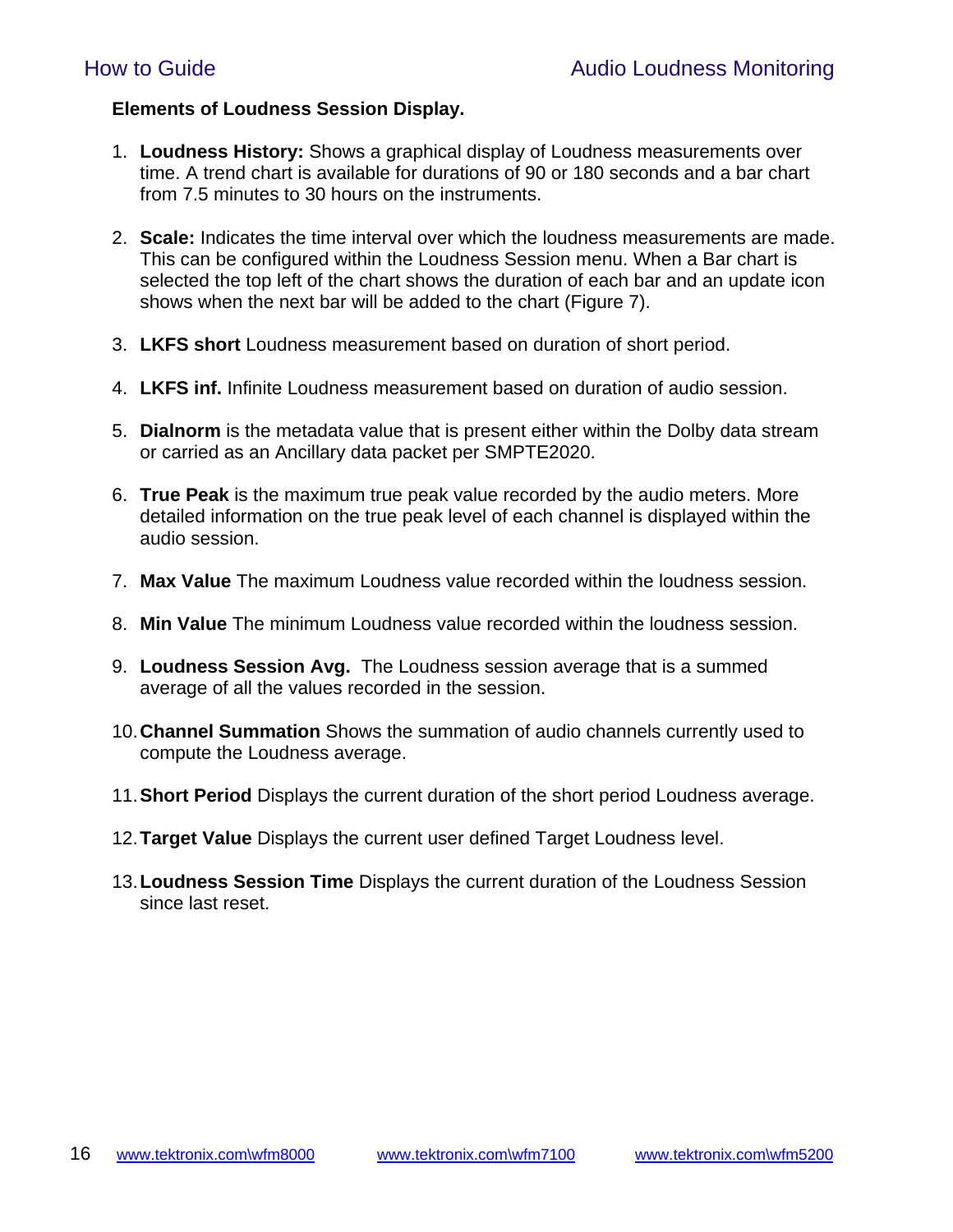#### **Elements of Loudness Session Display.**

- 1. **Loudness History:** Shows a graphical display of Loudness measurements over time. A trend chart is available for durations of 90 or 180 seconds and a bar chart from 7.5 minutes to 30 hours on the instruments.
- 2. **Scale:** Indicates the time interval over which the loudness measurements are made. This can be configured within the Loudness Session menu. When a Bar chart is selected the top left of the chart shows the duration of each bar and an update icon shows when the next bar will be added to the chart (Figure 7).
- 3. **LKFS short** Loudness measurement based on duration of short period.
- 4. **LKFS inf.** Infinite Loudness measurement based on duration of audio session.
- 5. **Dialnorm** is the metadata value that is present either within the Dolby data stream or carried as an Ancillary data packet per SMPTE2020.
- 6. **True Peak** is the maximum true peak value recorded by the audio meters. More detailed information on the true peak level of each channel is displayed within the audio session.
- 7. **Max Value** The maximum Loudness value recorded within the loudness session.
- 8. **Min Value** The minimum Loudness value recorded within the loudness session.
- 9. **Loudness Session Avg.** The Loudness session average that is a summed average of all the values recorded in the session.
- 10. **Channel Summation** Shows the summation of audio channels currently used to compute the Loudness average.
- 11. **Short Period** Displays the current duration of the short period Loudness average.
- 12. **Target Value** Displays the current user defined Target Loudness level.
- 13. **Loudness Session Time** Displays the current duration of the Loudness Session since last reset.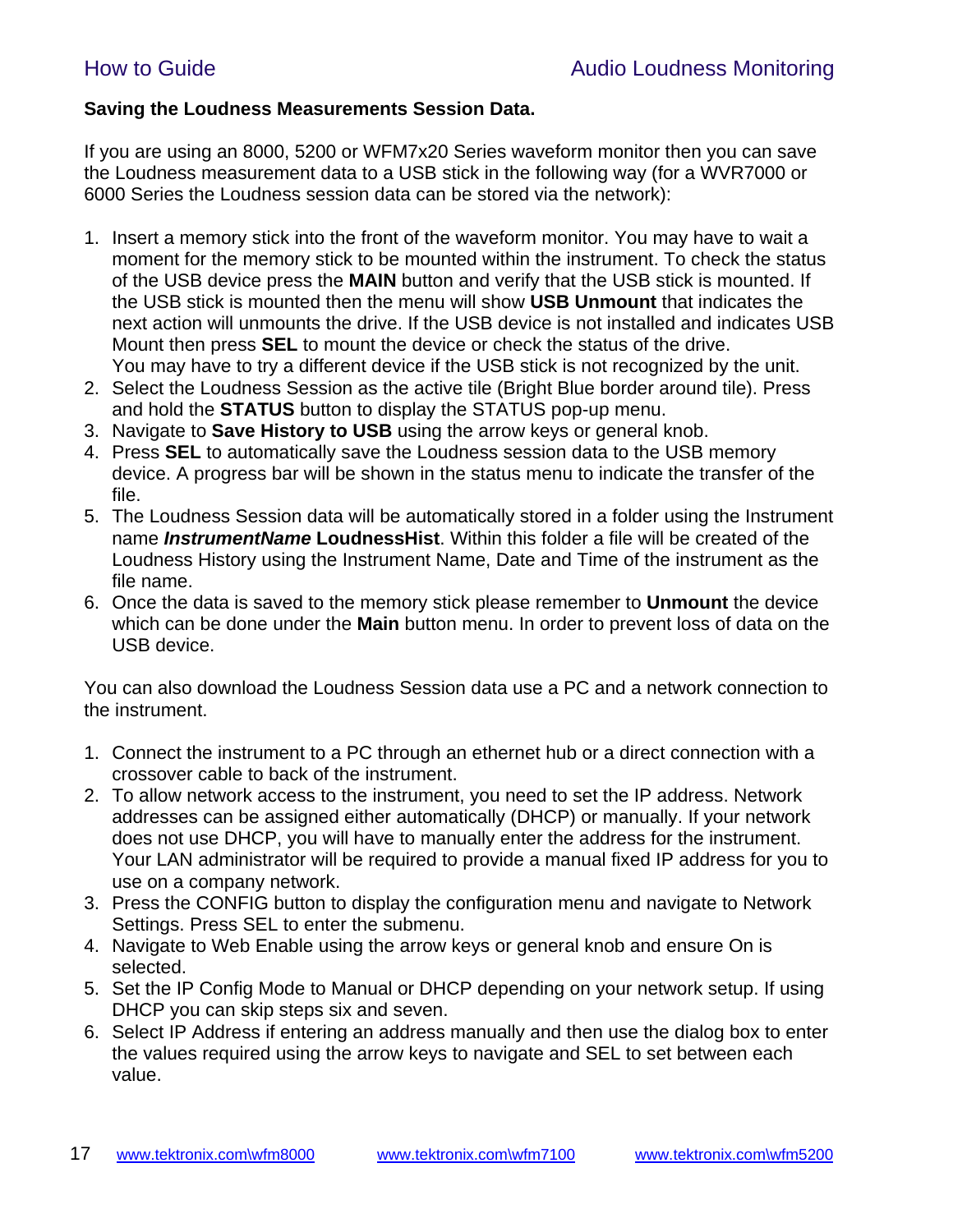### **Saving the Loudness Measurements Session Data.**

If you are using an 8000, 5200 or WFM7x20 Series waveform monitor then you can save the Loudness measurement data to a USB stick in the following way (for a WVR7000 or 6000 Series the Loudness session data can be stored via the network):

- 1. Insert a memory stick into the front of the waveform monitor. You may have to wait a moment for the memory stick to be mounted within the instrument. To check the status of the USB device press the **MAIN** button and verify that the USB stick is mounted. If the USB stick is mounted then the menu will show **USB Unmount** that indicates the next action will unmounts the drive. If the USB device is not installed and indicates USB Mount then press **SEL** to mount the device or check the status of the drive. You may have to try a different device if the USB stick is not recognized by the unit.
- 2. Select the Loudness Session as the active tile (Bright Blue border around tile). Press and hold the **STATUS** button to display the STATUS pop-up menu.
- 3. Navigate to **Save History to USB** using the arrow keys or general knob.
- 4. Press **SEL** to automatically save the Loudness session data to the USB memory device. A progress bar will be shown in the status menu to indicate the transfer of the file.
- 5. The Loudness Session data will be automatically stored in a folder using the Instrument name *InstrumentName* **LoudnessHist**. Within this folder a file will be created of the Loudness History using the Instrument Name, Date and Time of the instrument as the file name.
- 6. Once the data is saved to the memory stick please remember to **Unmount** the device which can be done under the **Main** button menu. In order to prevent loss of data on the USB device.

You can also download the Loudness Session data use a PC and a network connection to the instrument.

- 1. Connect the instrument to a PC through an ethernet hub or a direct connection with a crossover cable to back of the instrument.
- 2. To allow network access to the instrument, you need to set the IP address. Network addresses can be assigned either automatically (DHCP) or manually. If your network does not use DHCP, you will have to manually enter the address for the instrument. Your LAN administrator will be required to provide a manual fixed IP address for you to use on a company network.
- 3. Press the CONFIG button to display the configuration menu and navigate to Network Settings. Press SEL to enter the submenu.
- 4. Navigate to Web Enable using the arrow keys or general knob and ensure On is selected.
- 5. Set the IP Config Mode to Manual or DHCP depending on your network setup. If using DHCP you can skip steps six and seven.
- 6. Select IP Address if entering an address manually and then use the dialog box to enter the values required using the arrow keys to navigate and SEL to set between each value.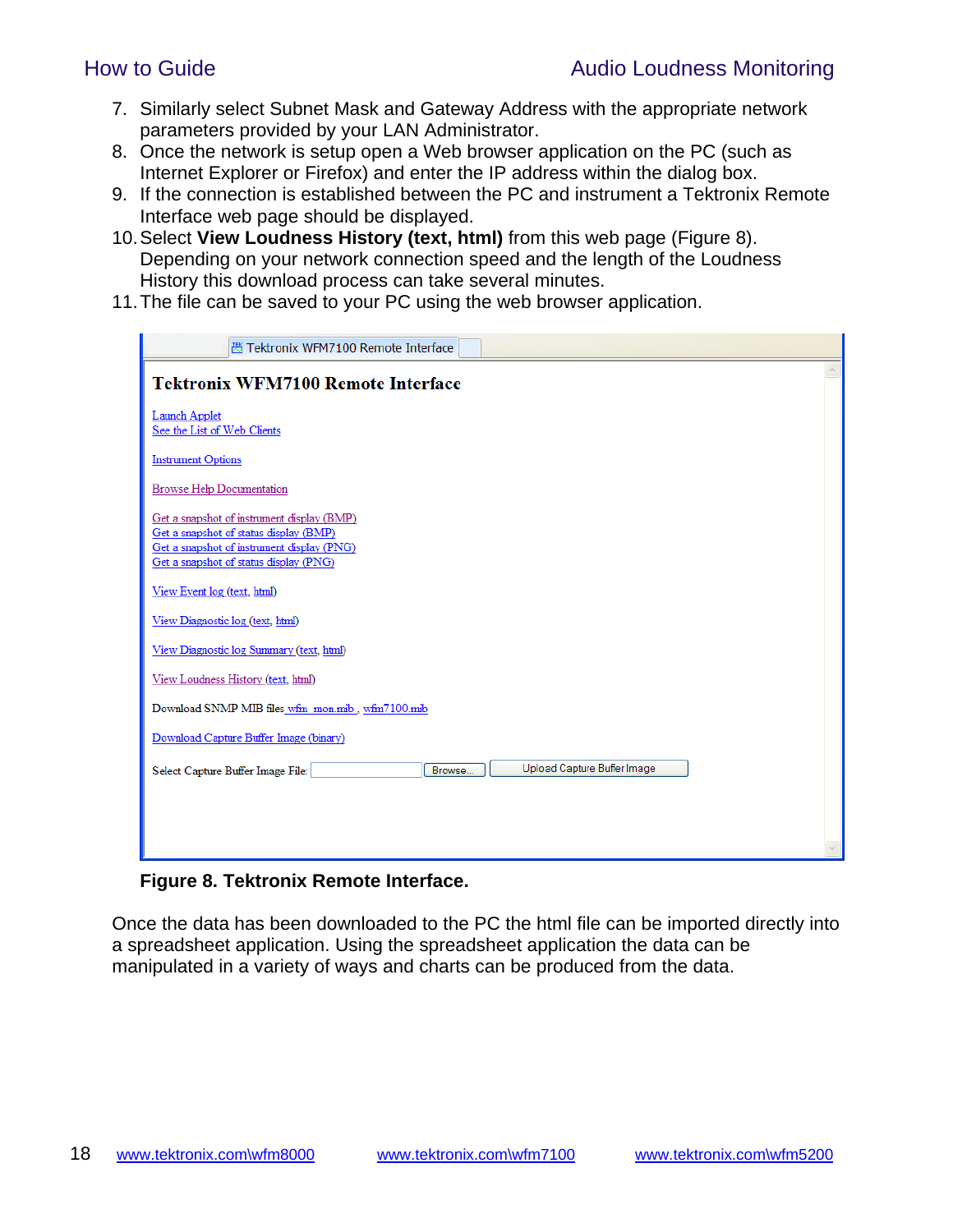- 7. Similarly select Subnet Mask and Gateway Address with the appropriate network parameters provided by your LAN Administrator.
- 8. Once the network is setup open a Web browser application on the PC (such as Internet Explorer or Firefox) and enter the IP address within the dialog box.
- 9. If the connection is established between the PC and instrument a Tektronix Remote Interface web page should be displayed.
- 10. Select **View Loudness History (text, html)** from this web page (Figure 8). Depending on your network connection speed and the length of the Loudness History this download process can take several minutes.
- 11. The file can be saved to your PC using the web browser application.

| 圏 Tektronix WFM7100 Remote Interface                                                                                                                                         |  |
|------------------------------------------------------------------------------------------------------------------------------------------------------------------------------|--|
| <b>Tektronix WFM7100 Remote Interface</b>                                                                                                                                    |  |
| Launch Applet<br>See the List of Web Clients                                                                                                                                 |  |
| <b>Instrument Options</b>                                                                                                                                                    |  |
| <b>Browse Help Documentation</b>                                                                                                                                             |  |
| Get a snapshot of instrument display (BMP)<br>Get a snapshot of status display (BMP)<br>Get a snapshot of instrument display (PNG)<br>Get a snapshot of status display (PNG) |  |
| View Event log (text, html)                                                                                                                                                  |  |
| View Diagnostic log (text, html)                                                                                                                                             |  |
| View Diagnostic log Summary (text, html)                                                                                                                                     |  |
| View Loudness History (text, html)                                                                                                                                           |  |
| Download SNMP MIB files wfm mon.mib, wfm7100.mib                                                                                                                             |  |
| Download Capture Buffer Image (binary)                                                                                                                                       |  |
| Upload Capture Buffer Image<br>Select Capture Buffer Image File:<br>Browse                                                                                                   |  |
|                                                                                                                                                                              |  |
|                                                                                                                                                                              |  |
|                                                                                                                                                                              |  |

#### **Figure 8. Tektronix Remote Interface.**

Once the data has been downloaded to the PC the html file can be imported directly into a spreadsheet application. Using the spreadsheet application the data can be manipulated in a variety of ways and charts can be produced from the data.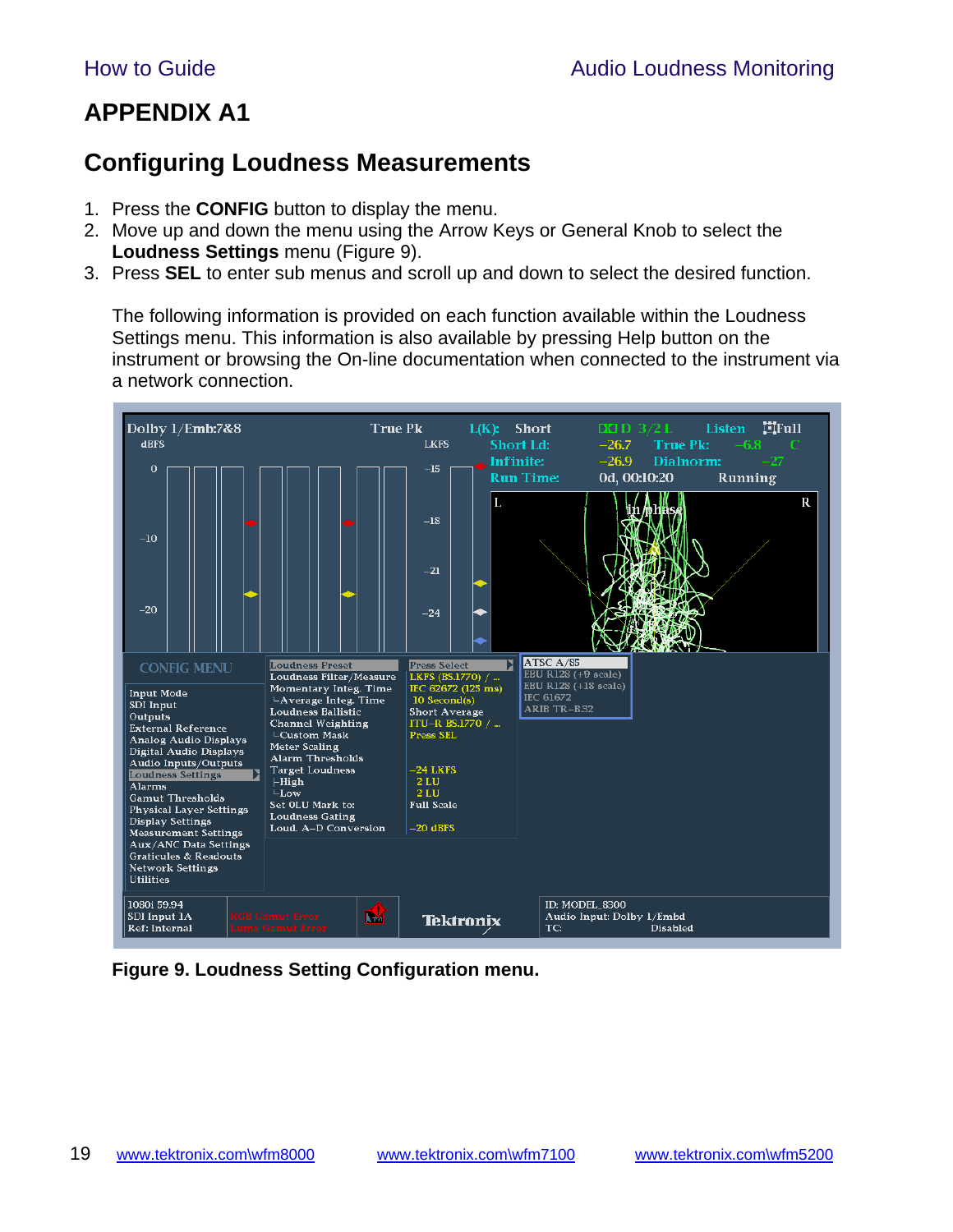## **APPENDIX A1**

## **Configuring Loudness Measurements**

- 1. Press the **CONFIG** button to display the menu.
- 2. Move up and down the menu using the Arrow Keys or General Knob to select the **Loudness Settings** menu (Figure 9).
- 3. Press **SEL** to enter sub menus and scroll up and down to select the desired function.

The following information is provided on each function available within the Loudness Settings menu. This information is also available by pressing Help button on the instrument or browsing the On-line documentation when connected to the instrument via a network connection.



**Figure 9. Loudness Setting Configuration menu.**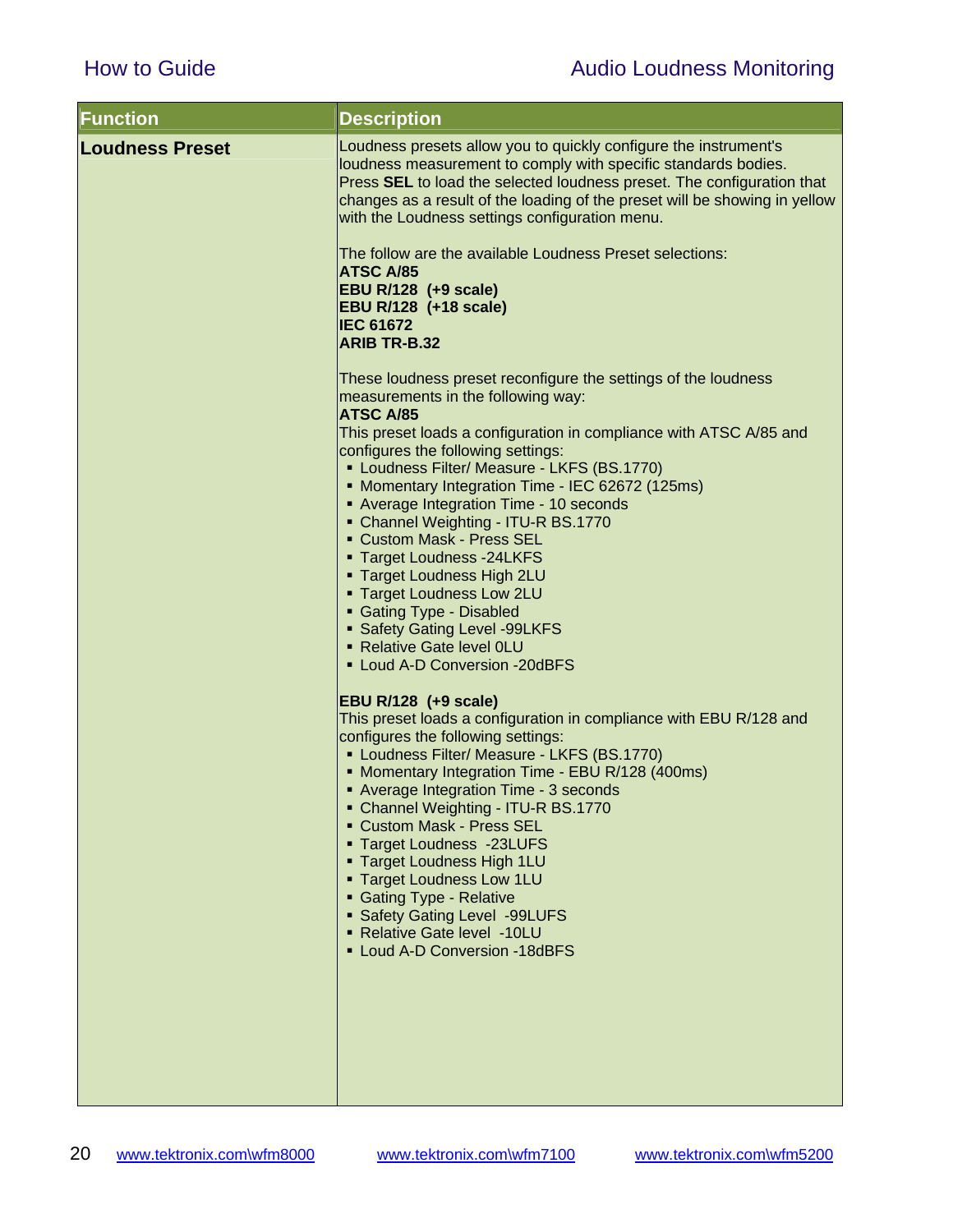| <b>Function</b>        | <b>Description</b>                                                                                                                                                                                                                                                                                                                           |
|------------------------|----------------------------------------------------------------------------------------------------------------------------------------------------------------------------------------------------------------------------------------------------------------------------------------------------------------------------------------------|
| <b>Loudness Preset</b> | Loudness presets allow you to quickly configure the instrument's<br>loudness measurement to comply with specific standards bodies.<br>Press SEL to load the selected loudness preset. The configuration that<br>changes as a result of the loading of the preset will be showing in yellow<br>with the Loudness settings configuration menu. |
|                        | The follow are the available Loudness Preset selections:<br><b>ATSC A/85</b><br><b>EBU R/128 (+9 scale)</b><br><b>EBU R/128 (+18 scale)</b><br><b>IEC 61672</b>                                                                                                                                                                              |
|                        | <b>ARIB TR-B.32</b>                                                                                                                                                                                                                                                                                                                          |
|                        | These loudness preset reconfigure the settings of the loudness<br>measurements in the following way:<br>ATSC A/85                                                                                                                                                                                                                            |
|                        | This preset loads a configuration in compliance with ATSC A/85 and<br>configures the following settings:<br>• Loudness Filter/ Measure - LKFS (BS.1770)                                                                                                                                                                                      |
|                        | • Momentary Integration Time - IEC 62672 (125ms)<br>• Average Integration Time - 10 seconds                                                                                                                                                                                                                                                  |
|                        | • Channel Weighting - ITU-R BS.1770<br>• Custom Mask - Press SEL                                                                                                                                                                                                                                                                             |
|                        | " Target Loudness -24LKFS<br><b>Target Loudness High 2LU</b>                                                                                                                                                                                                                                                                                 |
|                        | <b>Target Loudness Low 2LU</b><br>• Gating Type - Disabled                                                                                                                                                                                                                                                                                   |
|                        | • Safety Gating Level -99LKFS<br>- Relative Gate level OLU                                                                                                                                                                                                                                                                                   |
|                        | • Loud A-D Conversion -20dBFS                                                                                                                                                                                                                                                                                                                |
|                        | <b>EBU R/128 (+9 scale)</b>                                                                                                                                                                                                                                                                                                                  |
|                        | This preset loads a configuration in compliance with EBU R/128 and<br>configures the following settings:                                                                                                                                                                                                                                     |
|                        | • Loudness Filter/ Measure - LKFS (BS.1770)<br>• Momentary Integration Time - EBU R/128 (400ms)                                                                                                                                                                                                                                              |
|                        | • Average Integration Time - 3 seconds<br>• Channel Weighting - ITU-R BS.1770                                                                                                                                                                                                                                                                |
|                        | ■ Custom Mask - Press SEL<br><b>Target Loudness -23LUFS</b>                                                                                                                                                                                                                                                                                  |
|                        | " Target Loudness High 1LU<br>• Target Loudness Low 1LU                                                                                                                                                                                                                                                                                      |
|                        | • Gating Type - Relative                                                                                                                                                                                                                                                                                                                     |
|                        | • Safety Gating Level -99LUFS<br>- Relative Gate level -10LU                                                                                                                                                                                                                                                                                 |
|                        | • Loud A-D Conversion -18dBFS                                                                                                                                                                                                                                                                                                                |
|                        |                                                                                                                                                                                                                                                                                                                                              |
|                        |                                                                                                                                                                                                                                                                                                                                              |
|                        |                                                                                                                                                                                                                                                                                                                                              |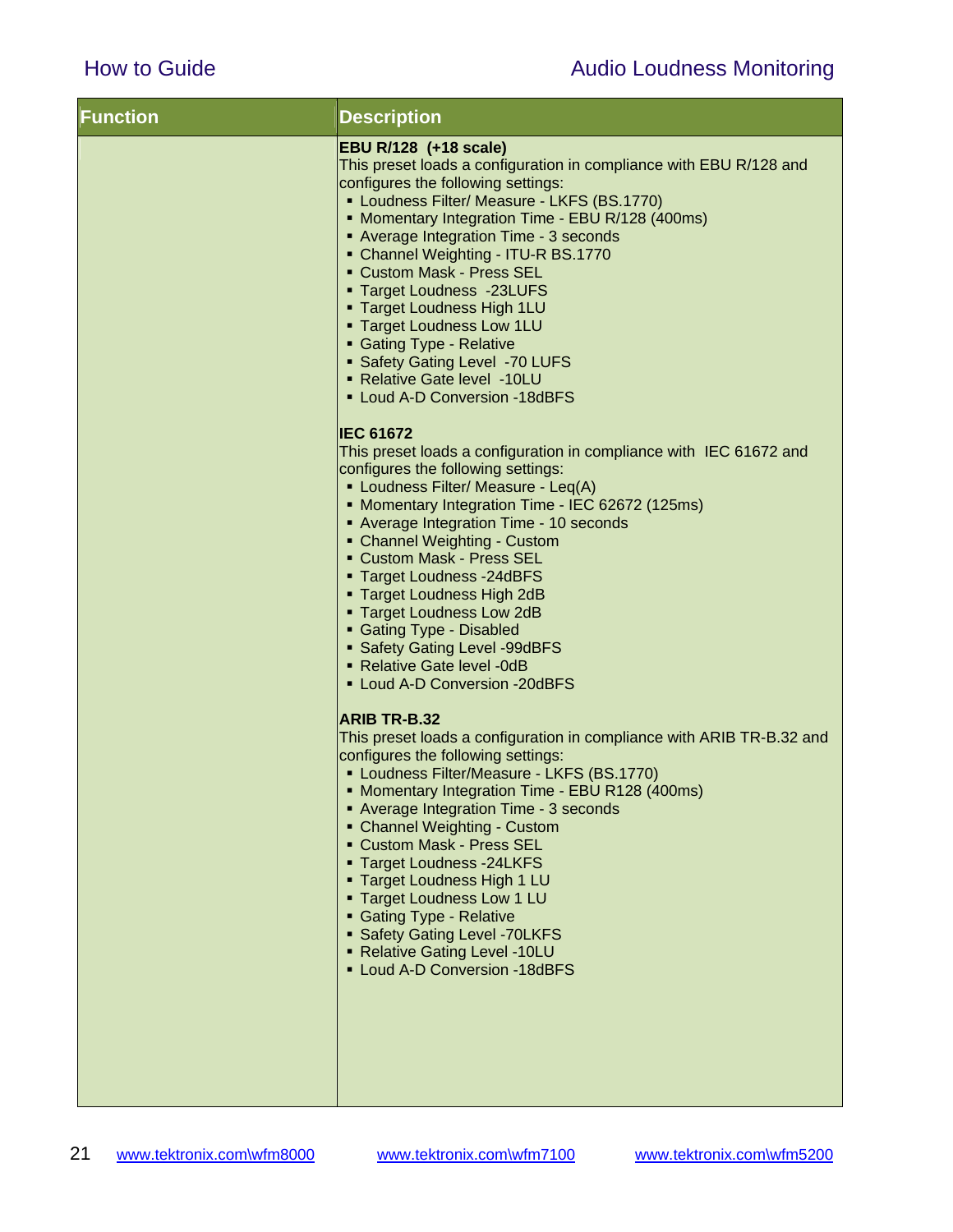| <b>Function</b> | <b>Description</b>                                                                                                                                                                                                                                                                                                                                                                                                                                                                                                                                                                 |
|-----------------|------------------------------------------------------------------------------------------------------------------------------------------------------------------------------------------------------------------------------------------------------------------------------------------------------------------------------------------------------------------------------------------------------------------------------------------------------------------------------------------------------------------------------------------------------------------------------------|
|                 | EBU R/128 (+18 scale)<br>This preset loads a configuration in compliance with EBU R/128 and<br>configures the following settings:<br>• Loudness Filter/ Measure - LKFS (BS.1770)<br>• Momentary Integration Time - EBU R/128 (400ms)<br>• Average Integration Time - 3 seconds<br>• Channel Weighting - ITU-R BS.1770<br>• Custom Mask - Press SEL<br>" Target Loudness -23LUFS<br><b>Target Loudness High 1LU</b><br><b>Target Loudness Low 1LU</b><br>• Gating Type - Relative<br>• Safety Gating Level -70 LUFS<br>- Relative Gate level -10LU<br>- Loud A-D Conversion -18dBFS |
|                 | <b>IEC 61672</b><br>This preset loads a configuration in compliance with IEC 61672 and<br>configures the following settings:<br>• Loudness Filter/ Measure - Leq(A)<br>• Momentary Integration Time - IEC 62672 (125ms)<br>• Average Integration Time - 10 seconds<br>• Channel Weighting - Custom<br>• Custom Mask - Press SEL<br>" Target Loudness - 24dBFS<br>" Target Loudness High 2dB<br>" Target Loudness Low 2dB<br>• Gating Type - Disabled<br>• Safety Gating Level -99dBFS<br>• Relative Gate level -0dB<br>• Loud A-D Conversion -20dBFS                               |
|                 | <b>ARIB TR-B.32</b><br>This preset loads a configuration in compliance with ARIB TR-B.32 and<br>configures the following settings:<br>• Loudness Filter/Measure - LKFS (BS.1770)<br>• Momentary Integration Time - EBU R128 (400ms)<br>• Average Integration Time - 3 seconds<br>• Channel Weighting - Custom<br>• Custom Mask - Press SEL<br>" Target Loudness -24LKFS<br>" Target Loudness High 1 LU<br><b>Target Loudness Low 1 LU</b><br>• Gating Type - Relative<br>• Safety Gating Level - 70LKFS<br>• Relative Gating Level -10LU<br>• Loud A-D Conversion -18dBFS          |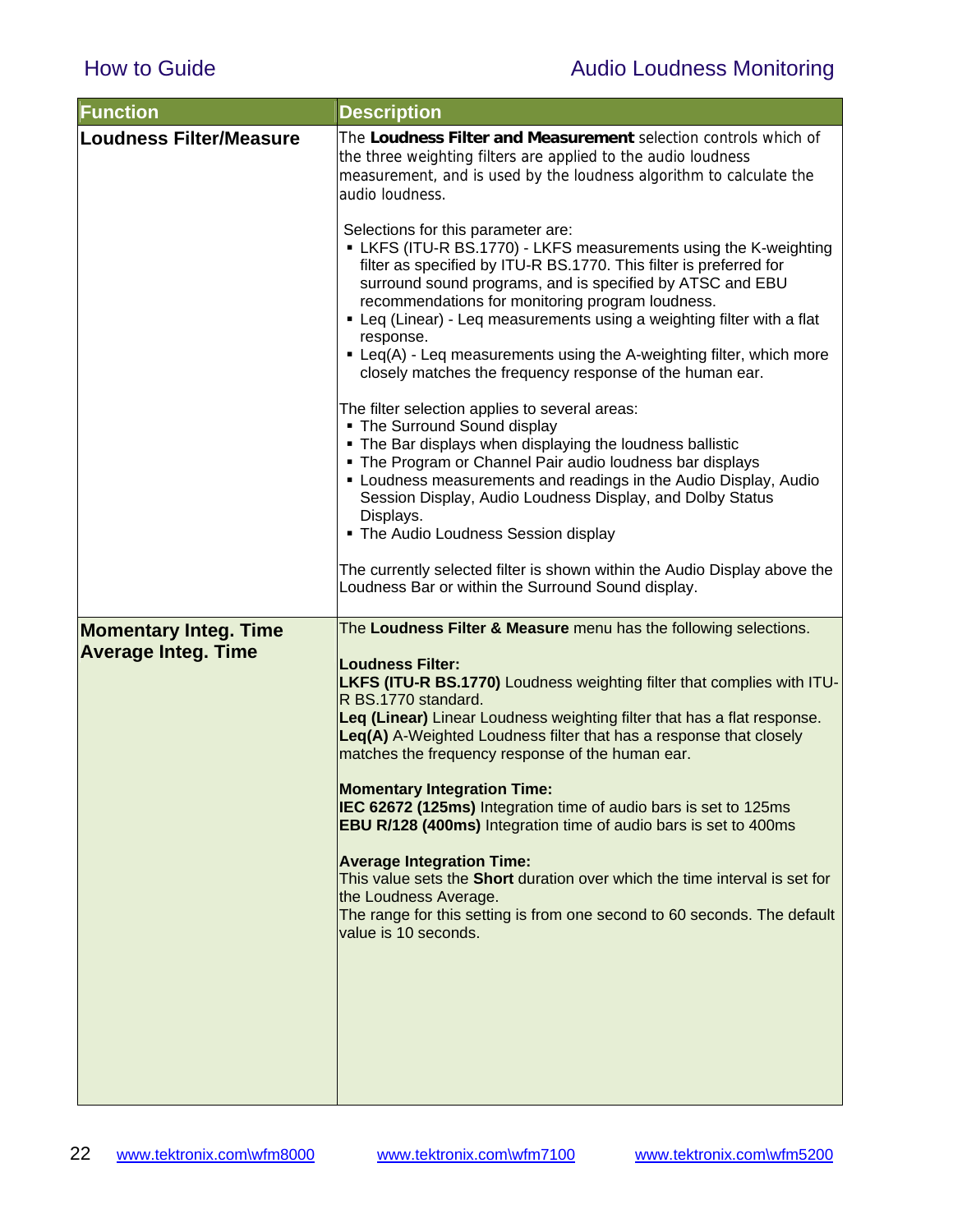| <b>Function</b>                                            | <b>Description</b>                                                                                                                                                                                                                                                                                                                                                                                                                                                                                                     |
|------------------------------------------------------------|------------------------------------------------------------------------------------------------------------------------------------------------------------------------------------------------------------------------------------------------------------------------------------------------------------------------------------------------------------------------------------------------------------------------------------------------------------------------------------------------------------------------|
| <b>Loudness Filter/Measure</b>                             | The Loudness Filter and Measurement selection controls which of<br>the three weighting filters are applied to the audio loudness<br>measurement, and is used by the loudness algorithm to calculate the<br>audio loudness.                                                                                                                                                                                                                                                                                             |
|                                                            | Selections for this parameter are:<br>LKFS (ITU-R BS.1770) - LKFS measurements using the K-weighting<br>filter as specified by ITU-R BS.1770. This filter is preferred for<br>surround sound programs, and is specified by ATSC and EBU<br>recommendations for monitoring program loudness.<br>• Leq (Linear) - Leq measurements using a weighting filter with a flat<br>response.<br>• Leq(A) - Leq measurements using the A-weighting filter, which more<br>closely matches the frequency response of the human ear. |
|                                                            | The filter selection applies to several areas:<br>• The Surround Sound display<br>. The Bar displays when displaying the loudness ballistic<br>• The Program or Channel Pair audio loudness bar displays<br>• Loudness measurements and readings in the Audio Display, Audio<br>Session Display, Audio Loudness Display, and Dolby Status<br>Displays.<br>• The Audio Loudness Session display                                                                                                                         |
|                                                            | The currently selected filter is shown within the Audio Display above the<br>Loudness Bar or within the Surround Sound display.                                                                                                                                                                                                                                                                                                                                                                                        |
| <b>Momentary Integ. Time</b><br><b>Average Integ. Time</b> | The Loudness Filter & Measure menu has the following selections.<br><b>Loudness Filter:</b><br>LKFS (ITU-R BS.1770) Loudness weighting filter that complies with ITU-<br>R BS.1770 standard.<br>Leq (Linear) Linear Loudness weighting filter that has a flat response.<br>Leq(A) A-Weighted Loudness filter that has a response that closely<br>matches the frequency response of the human ear.                                                                                                                      |
|                                                            | <b>Momentary Integration Time:</b><br>IEC 62672 (125ms) Integration time of audio bars is set to 125ms<br>EBU R/128 (400ms) Integration time of audio bars is set to 400ms                                                                                                                                                                                                                                                                                                                                             |
|                                                            | <b>Average Integration Time:</b><br>This value sets the Short duration over which the time interval is set for<br>the Loudness Average.<br>The range for this setting is from one second to 60 seconds. The default<br>value is 10 seconds.                                                                                                                                                                                                                                                                            |
|                                                            |                                                                                                                                                                                                                                                                                                                                                                                                                                                                                                                        |
|                                                            |                                                                                                                                                                                                                                                                                                                                                                                                                                                                                                                        |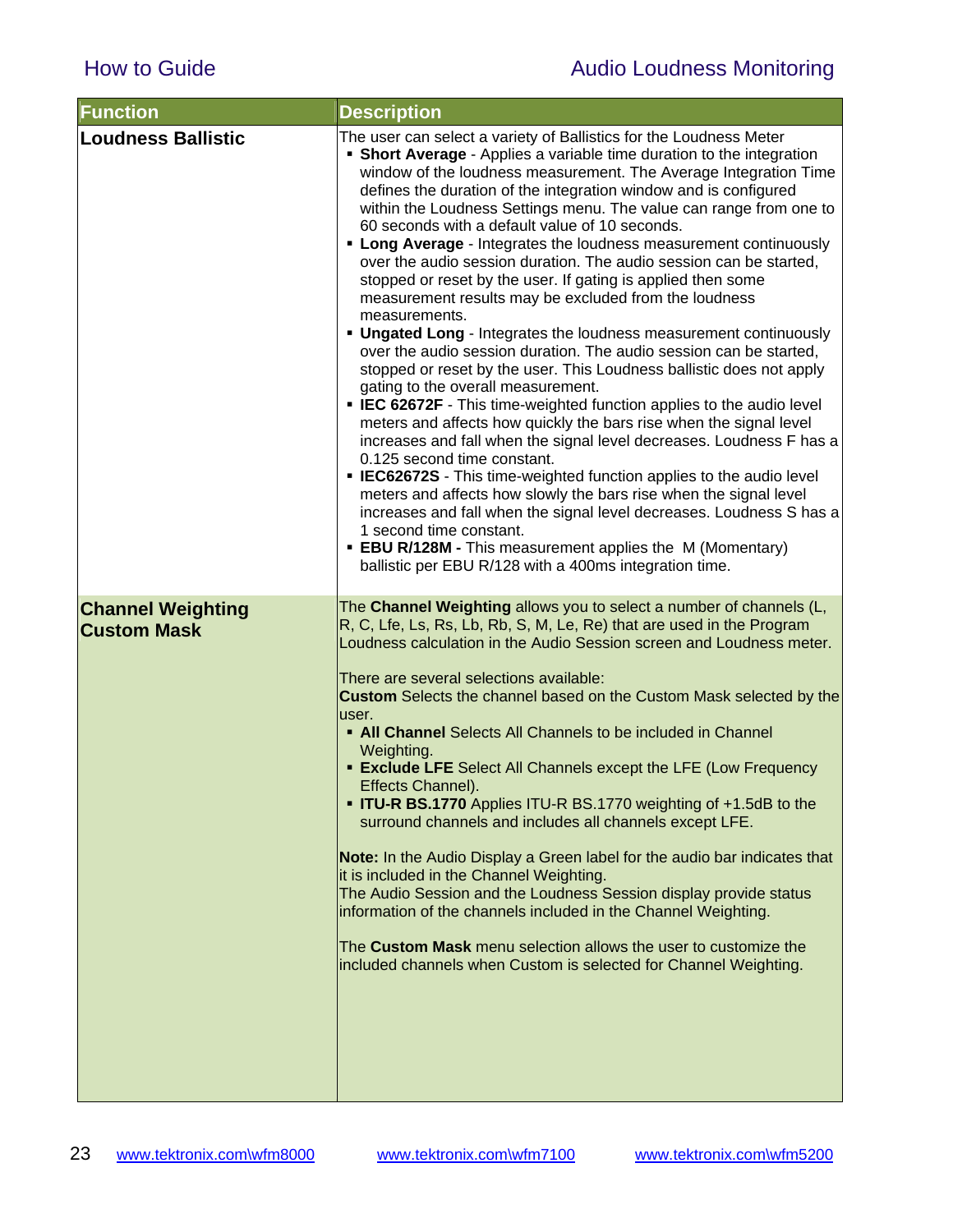| <b>Function</b>                                | <b>Description</b>                                                                                                                                                                                                                                                                                                                                                                                                                                                                                                                                                                                                                                                                                                                                                                                                                                                                                                                                                                                                                                                                                                                                                                                                                                                                                                                                                                                                                                                                                                                                                                                     |
|------------------------------------------------|--------------------------------------------------------------------------------------------------------------------------------------------------------------------------------------------------------------------------------------------------------------------------------------------------------------------------------------------------------------------------------------------------------------------------------------------------------------------------------------------------------------------------------------------------------------------------------------------------------------------------------------------------------------------------------------------------------------------------------------------------------------------------------------------------------------------------------------------------------------------------------------------------------------------------------------------------------------------------------------------------------------------------------------------------------------------------------------------------------------------------------------------------------------------------------------------------------------------------------------------------------------------------------------------------------------------------------------------------------------------------------------------------------------------------------------------------------------------------------------------------------------------------------------------------------------------------------------------------------|
| <b>Loudness Ballistic</b>                      | The user can select a variety of Ballistics for the Loudness Meter<br>• Short Average - Applies a variable time duration to the integration<br>window of the loudness measurement. The Average Integration Time<br>defines the duration of the integration window and is configured<br>within the Loudness Settings menu. The value can range from one to<br>60 seconds with a default value of 10 seconds.<br><b>- Long Average</b> - Integrates the loudness measurement continuously<br>over the audio session duration. The audio session can be started,<br>stopped or reset by the user. If gating is applied then some<br>measurement results may be excluded from the loudness<br>measurements.<br>. Ungated Long - Integrates the loudness measurement continuously<br>over the audio session duration. The audio session can be started,<br>stopped or reset by the user. This Loudness ballistic does not apply<br>gating to the overall measurement.<br>• IEC 62672F - This time-weighted function applies to the audio level<br>meters and affects how quickly the bars rise when the signal level<br>increases and fall when the signal level decreases. Loudness F has a<br>0.125 second time constant.<br><b>EC62672S</b> - This time-weighted function applies to the audio level<br>meters and affects how slowly the bars rise when the signal level<br>increases and fall when the signal level decreases. Loudness S has a<br>1 second time constant.<br><b>EBU R/128M - This measurement applies the M (Momentary)</b><br>ballistic per EBU R/128 with a 400ms integration time. |
| <b>Channel Weighting</b><br><b>Custom Mask</b> | The Channel Weighting allows you to select a number of channels (L,<br>R, C, Lfe, Ls, Rs, Lb, Rb, S, M, Le, Re) that are used in the Program<br>Loudness calculation in the Audio Session screen and Loudness meter.<br>There are several selections available:<br><b>Custom</b> Selects the channel based on the Custom Mask selected by the<br>user.<br>• All Channel Selects All Channels to be included in Channel<br>Weighting.<br><b>Exclude LFE</b> Select All Channels except the LFE (Low Frequency<br>Effects Channel).<br><b>TU-R BS.1770</b> Applies ITU-R BS.1770 weighting of +1.5dB to the<br>surround channels and includes all channels except LFE.<br>Note: In the Audio Display a Green label for the audio bar indicates that<br>it is included in the Channel Weighting.<br>The Audio Session and the Loudness Session display provide status<br>information of the channels included in the Channel Weighting.<br>The Custom Mask menu selection allows the user to customize the<br>included channels when Custom is selected for Channel Weighting.                                                                                                                                                                                                                                                                                                                                                                                                                                                                                                                            |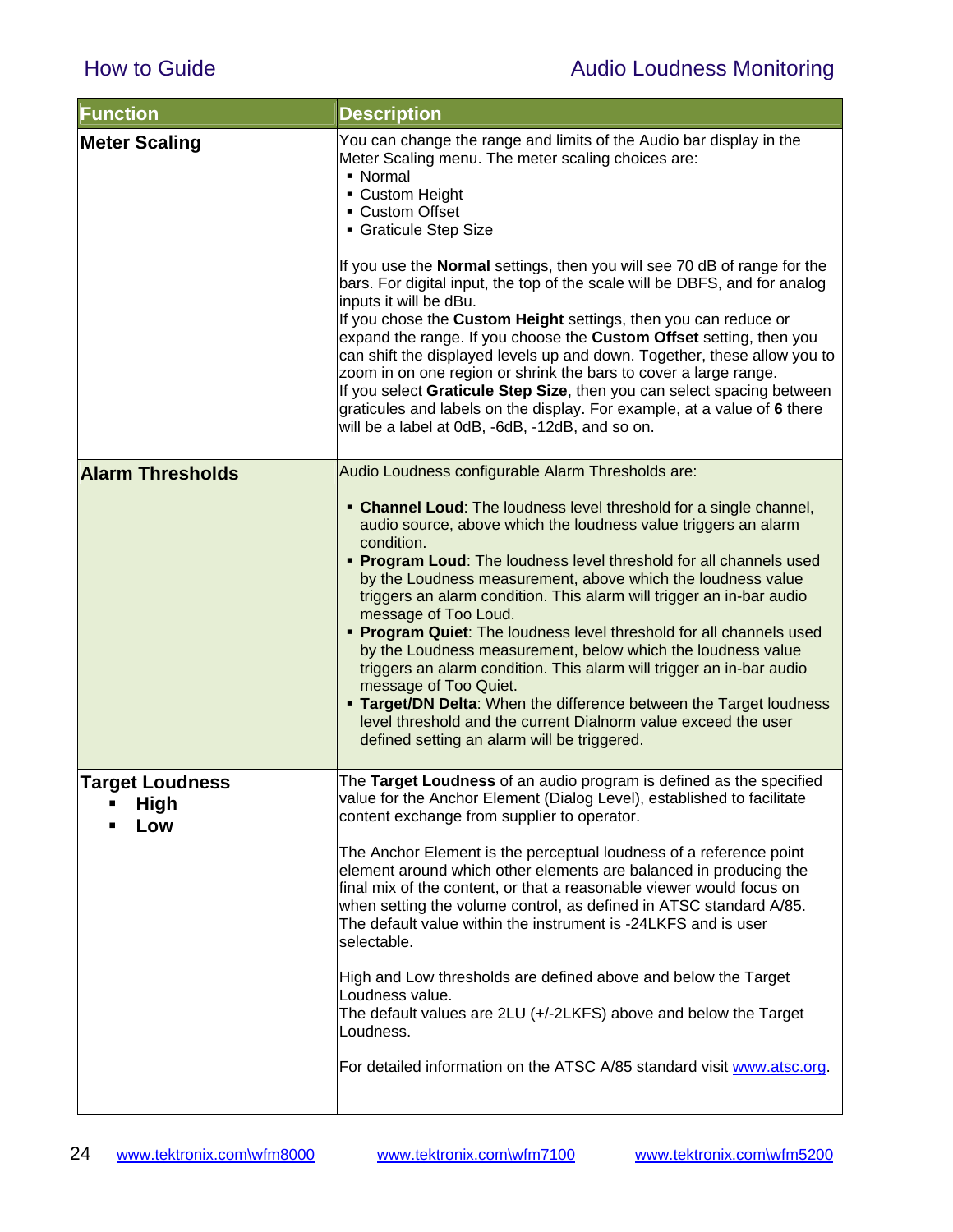| <b>Function</b>                                   | <b>Description</b>                                                                                                                                                                                                                                                                                                                                                                                                                                                                                                                                                                                                                                                                                                                                                                                                                                                                                 |
|---------------------------------------------------|----------------------------------------------------------------------------------------------------------------------------------------------------------------------------------------------------------------------------------------------------------------------------------------------------------------------------------------------------------------------------------------------------------------------------------------------------------------------------------------------------------------------------------------------------------------------------------------------------------------------------------------------------------------------------------------------------------------------------------------------------------------------------------------------------------------------------------------------------------------------------------------------------|
| <b>Meter Scaling</b>                              | You can change the range and limits of the Audio bar display in the<br>Meter Scaling menu. The meter scaling choices are:<br>• Normal<br>• Custom Height<br>• Custom Offset<br>• Graticule Step Size<br>If you use the <b>Normal</b> settings, then you will see 70 dB of range for the<br>bars. For digital input, the top of the scale will be DBFS, and for analog<br>inputs it will be dBu.<br>If you chose the Custom Height settings, then you can reduce or<br>expand the range. If you choose the Custom Offset setting, then you<br>can shift the displayed levels up and down. Together, these allow you to<br>zoom in on one region or shrink the bars to cover a large range.<br>If you select Graticule Step Size, then you can select spacing between<br>graticules and labels on the display. For example, at a value of 6 there<br>will be a label at 0dB, -6dB, -12dB, and so on. |
| <b>Alarm Thresholds</b>                           | Audio Loudness configurable Alarm Thresholds are:                                                                                                                                                                                                                                                                                                                                                                                                                                                                                                                                                                                                                                                                                                                                                                                                                                                  |
|                                                   | • Channel Loud: The loudness level threshold for a single channel,<br>audio source, above which the loudness value triggers an alarm<br>condition.<br>• Program Loud: The loudness level threshold for all channels used<br>by the Loudness measurement, above which the loudness value<br>triggers an alarm condition. This alarm will trigger an in-bar audio<br>message of Too Loud.<br>• Program Quiet: The loudness level threshold for all channels used<br>by the Loudness measurement, below which the loudness value<br>triggers an alarm condition. This alarm will trigger an in-bar audio<br>message of Too Quiet.<br><b>Target/DN Delta: When the difference between the Target loudness</b><br>level threshold and the current Dialnorm value exceed the user<br>defined setting an alarm will be triggered.                                                                         |
| <b>Target Loudness</b><br><b>High</b><br>п<br>Low | The Target Loudness of an audio program is defined as the specified<br>value for the Anchor Element (Dialog Level), established to facilitate<br>content exchange from supplier to operator.<br>The Anchor Element is the perceptual loudness of a reference point<br>element around which other elements are balanced in producing the                                                                                                                                                                                                                                                                                                                                                                                                                                                                                                                                                            |
|                                                   | final mix of the content, or that a reasonable viewer would focus on<br>when setting the volume control, as defined in ATSC standard A/85.<br>The default value within the instrument is -24LKFS and is user<br>selectable.                                                                                                                                                                                                                                                                                                                                                                                                                                                                                                                                                                                                                                                                        |
|                                                   | High and Low thresholds are defined above and below the Target<br>Loudness value.<br>The default values are 2LU (+/-2LKFS) above and below the Target<br>Loudness.                                                                                                                                                                                                                                                                                                                                                                                                                                                                                                                                                                                                                                                                                                                                 |
|                                                   | For detailed information on the ATSC A/85 standard visit www.atsc.org.                                                                                                                                                                                                                                                                                                                                                                                                                                                                                                                                                                                                                                                                                                                                                                                                                             |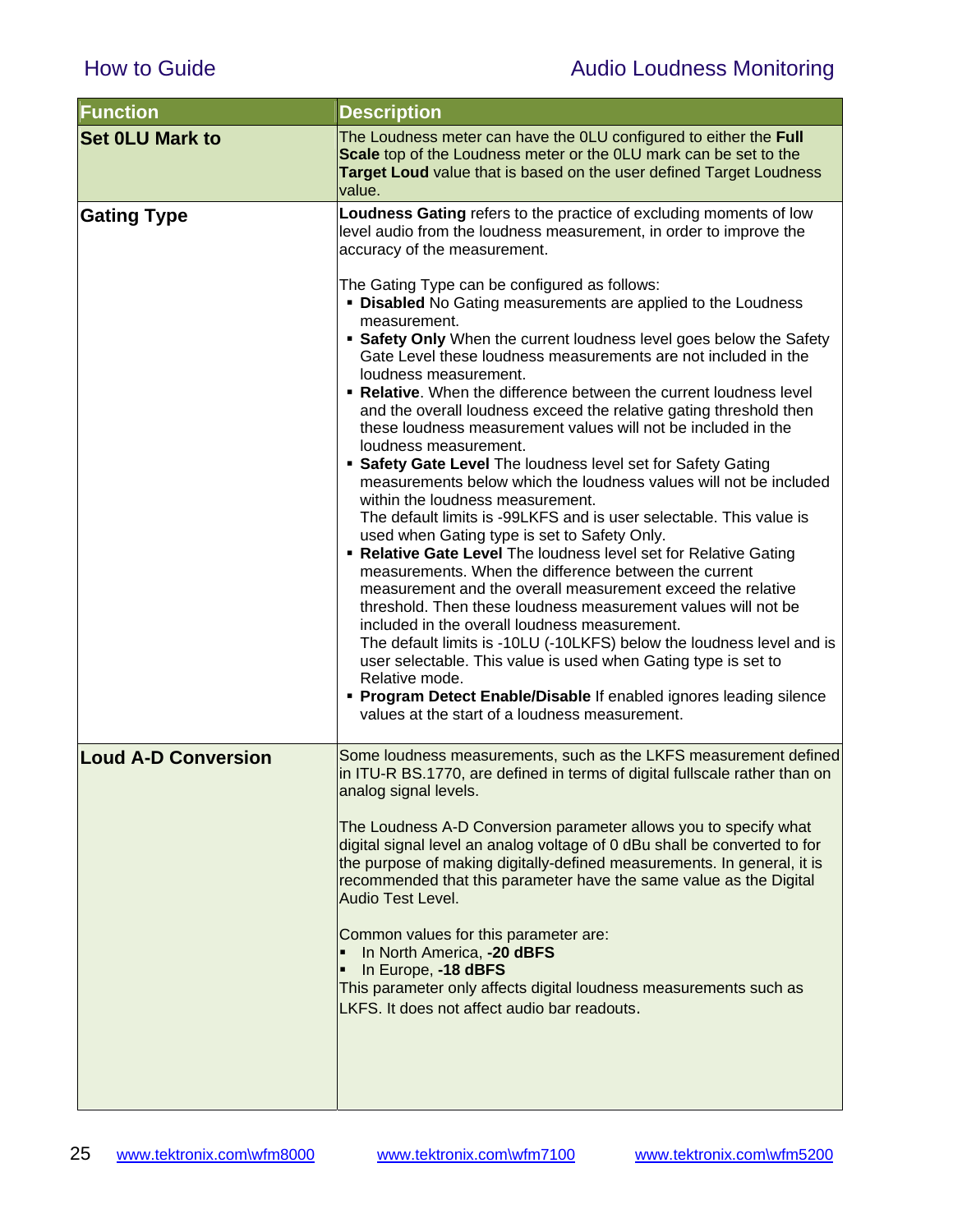| <b>Function</b>            | <b>Description</b>                                                                                                                                                                                                                                                                                                                                                                                                                                                                                                                                                                                                                                                                                                                                                                                                                                                                                                                                                                                                                                                                                                                                                                                                                                                                                                                                                                                                                                                                                                                                                                                                           |
|----------------------------|------------------------------------------------------------------------------------------------------------------------------------------------------------------------------------------------------------------------------------------------------------------------------------------------------------------------------------------------------------------------------------------------------------------------------------------------------------------------------------------------------------------------------------------------------------------------------------------------------------------------------------------------------------------------------------------------------------------------------------------------------------------------------------------------------------------------------------------------------------------------------------------------------------------------------------------------------------------------------------------------------------------------------------------------------------------------------------------------------------------------------------------------------------------------------------------------------------------------------------------------------------------------------------------------------------------------------------------------------------------------------------------------------------------------------------------------------------------------------------------------------------------------------------------------------------------------------------------------------------------------------|
| <b>Set OLU Mark to</b>     | The Loudness meter can have the OLU configured to either the Full<br>Scale top of the Loudness meter or the OLU mark can be set to the<br>Target Loud value that is based on the user defined Target Loudness<br>value.                                                                                                                                                                                                                                                                                                                                                                                                                                                                                                                                                                                                                                                                                                                                                                                                                                                                                                                                                                                                                                                                                                                                                                                                                                                                                                                                                                                                      |
| <b>Gating Type</b>         | Loudness Gating refers to the practice of excluding moments of low<br>level audio from the loudness measurement, in order to improve the<br>accuracy of the measurement.<br>The Gating Type can be configured as follows:<br><b>• Disabled</b> No Gating measurements are applied to the Loudness<br>measurement.<br>• Safety Only When the current loudness level goes below the Safety<br>Gate Level these loudness measurements are not included in the<br>loudness measurement.<br>. Relative. When the difference between the current loudness level<br>and the overall loudness exceed the relative gating threshold then<br>these loudness measurement values will not be included in the<br>loudness measurement.<br>• Safety Gate Level The loudness level set for Safety Gating<br>measurements below which the loudness values will not be included<br>within the loudness measurement.<br>The default limits is -99LKFS and is user selectable. This value is<br>used when Gating type is set to Safety Only.<br>• Relative Gate Level The loudness level set for Relative Gating<br>measurements. When the difference between the current<br>measurement and the overall measurement exceed the relative<br>threshold. Then these loudness measurement values will not be<br>included in the overall loudness measurement.<br>The default limits is -10LU (-10LKFS) below the loudness level and is<br>user selectable. This value is used when Gating type is set to<br>Relative mode.<br>• Program Detect Enable/Disable If enabled ignores leading silence<br>values at the start of a loudness measurement. |
| <b>Loud A-D Conversion</b> | Some loudness measurements, such as the LKFS measurement defined<br>in ITU-R BS.1770, are defined in terms of digital fullscale rather than on<br>analog signal levels.<br>The Loudness A-D Conversion parameter allows you to specify what<br>digital signal level an analog voltage of 0 dBu shall be converted to for<br>the purpose of making digitally-defined measurements. In general, it is<br>recommended that this parameter have the same value as the Digital<br>Audio Test Level.<br>Common values for this parameter are:<br>In North America, -20 dBFS<br>In Europe, -18 dBFS<br>This parameter only affects digital loudness measurements such as<br>LKFS. It does not affect audio bar readouts.                                                                                                                                                                                                                                                                                                                                                                                                                                                                                                                                                                                                                                                                                                                                                                                                                                                                                                            |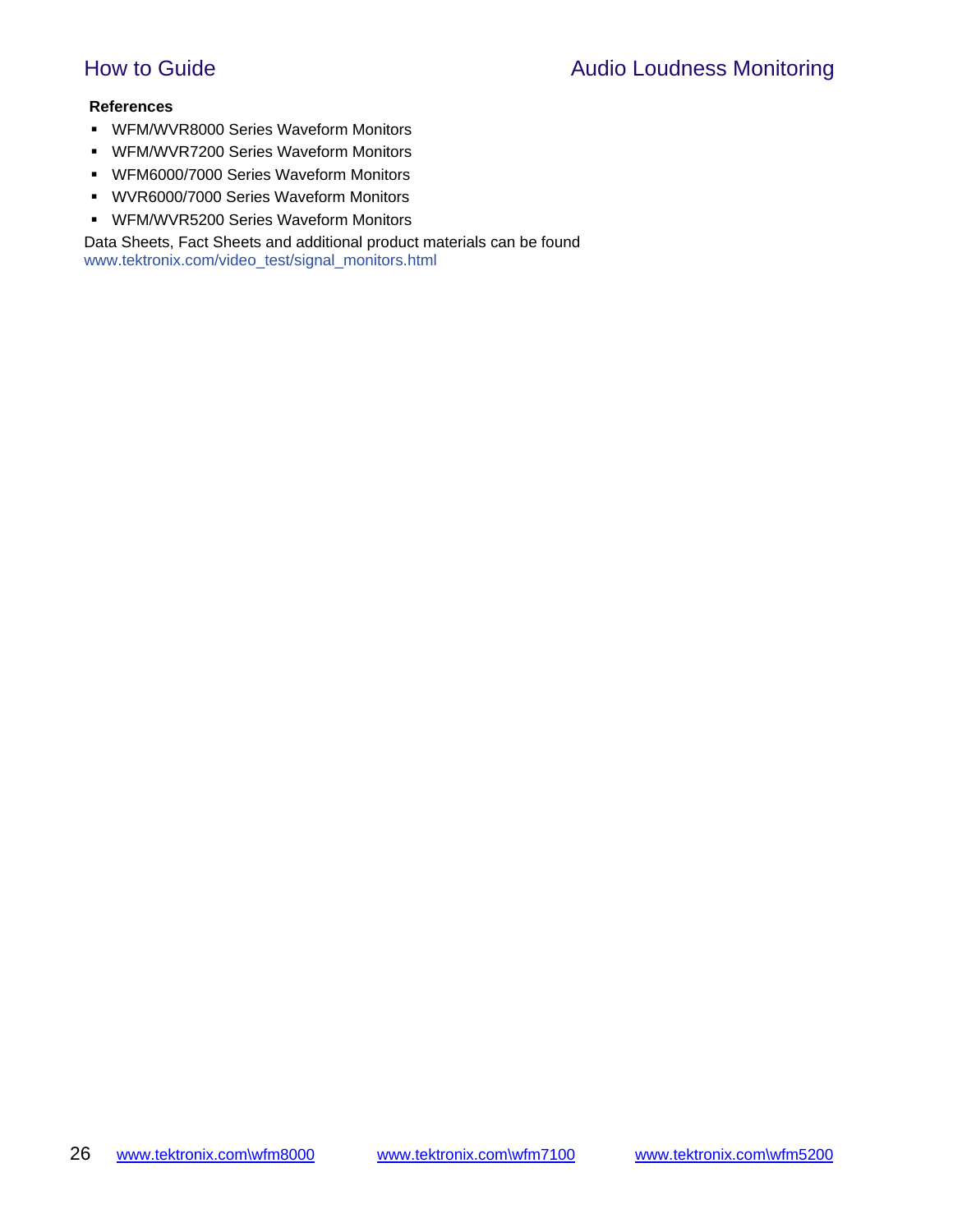#### **References**

- WFM/WVR8000 Series Waveform Monitors
- WFM/WVR7200 Series Waveform Monitors
- WFM6000/7000 Series Waveform Monitors
- WVR6000/7000 Series Waveform Monitors
- **WFM/WVR5200 Series Waveform Monitors**

Data Sheets, Fact Sheets and additional product materials can be found www.tektronix.com/video\_test/signal\_monitors.html